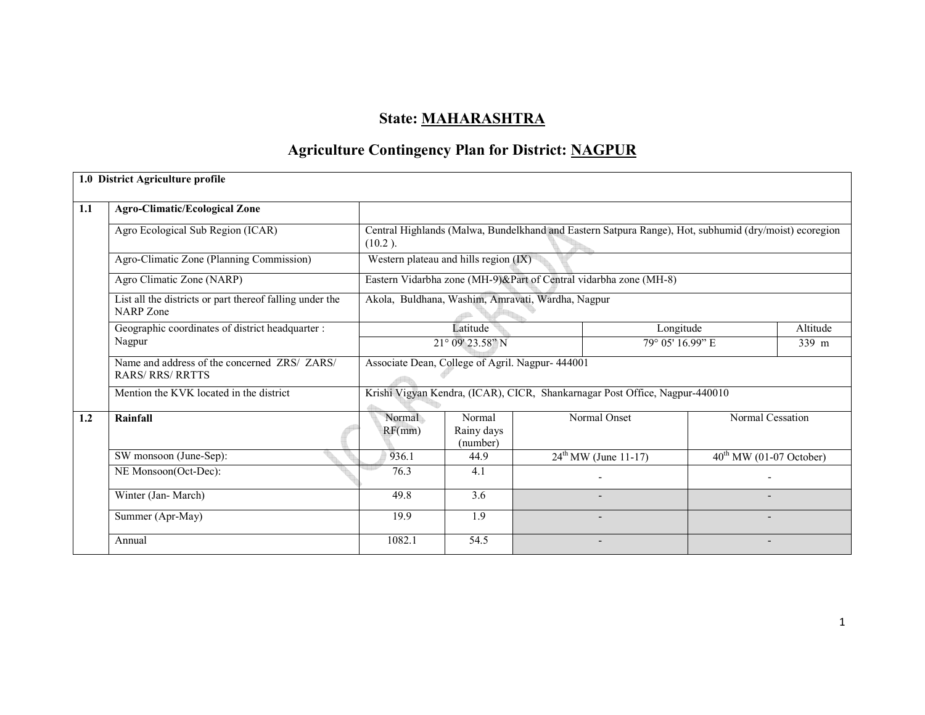# State: MAHARASHTRA

# Agriculture Contingency Plan for District: NAGPUR

|     | 1.0 District Agriculture profile                                      |                                                                             |                                                                                                       |  |                                                                   |                                     |          |  |  |  |
|-----|-----------------------------------------------------------------------|-----------------------------------------------------------------------------|-------------------------------------------------------------------------------------------------------|--|-------------------------------------------------------------------|-------------------------------------|----------|--|--|--|
| 1.1 | <b>Agro-Climatic/Ecological Zone</b>                                  |                                                                             |                                                                                                       |  |                                                                   |                                     |          |  |  |  |
|     | Agro Ecological Sub Region (ICAR)                                     | $(10.2)$ .                                                                  | Central Highlands (Malwa, Bundelkhand and Eastern Satpura Range), Hot, subhumid (dry/moist) ecoregion |  |                                                                   |                                     |          |  |  |  |
|     | Agro-Climatic Zone (Planning Commission)                              |                                                                             | Western plateau and hills region (IX)                                                                 |  |                                                                   |                                     |          |  |  |  |
|     | Agro Climatic Zone (NARP)                                             |                                                                             |                                                                                                       |  | Eastern Vidarbha zone (MH-9)&Part of Central vidarbha zone (MH-8) |                                     |          |  |  |  |
|     | List all the districts or part thereof falling under the<br>NARP Zone |                                                                             | Akola, Buldhana, Washim, Amravati, Wardha, Nagpur                                                     |  |                                                                   |                                     |          |  |  |  |
|     | Geographic coordinates of district headquarter :                      |                                                                             | Latitude                                                                                              |  | Longitude                                                         |                                     | Altitude |  |  |  |
|     | Nagpur                                                                | 21° 09' 23.58" N                                                            |                                                                                                       |  | 79° 05' 16.99" E<br>339 m                                         |                                     |          |  |  |  |
|     | Name and address of the concerned ZRS/ ZARS/<br><b>RARS/RRS/RRTTS</b> |                                                                             | Associate Dean, College of Agril. Nagpur- 444001                                                      |  |                                                                   |                                     |          |  |  |  |
|     | Mention the KVK located in the district                               | Krishi Vigyan Kendra, (ICAR), CICR, Shankarnagar Post Office, Nagpur-440010 |                                                                                                       |  |                                                                   |                                     |          |  |  |  |
| 1.2 | Rainfall                                                              | Normal<br>RF(mm)                                                            | Normal<br>Rainy days<br>(number)                                                                      |  | Normal Onset                                                      | Normal Cessation                    |          |  |  |  |
|     | SW monsoon (June-Sep):                                                | 936.1                                                                       | 44.9                                                                                                  |  | $24^{th}$ MW (June 11-17)                                         | $40^{\text{th}}$ MW (01-07 October) |          |  |  |  |
|     | NE Monsoon(Oct-Dec):                                                  | 76.3                                                                        | 4.1                                                                                                   |  |                                                                   |                                     |          |  |  |  |
|     | Winter (Jan-March)                                                    | 49.8                                                                        | 3.6                                                                                                   |  |                                                                   |                                     |          |  |  |  |
|     | Summer (Apr-May)                                                      | 19.9                                                                        | 1.9                                                                                                   |  |                                                                   |                                     |          |  |  |  |
|     | Annual                                                                | 1082.1                                                                      | 54.5                                                                                                  |  |                                                                   |                                     |          |  |  |  |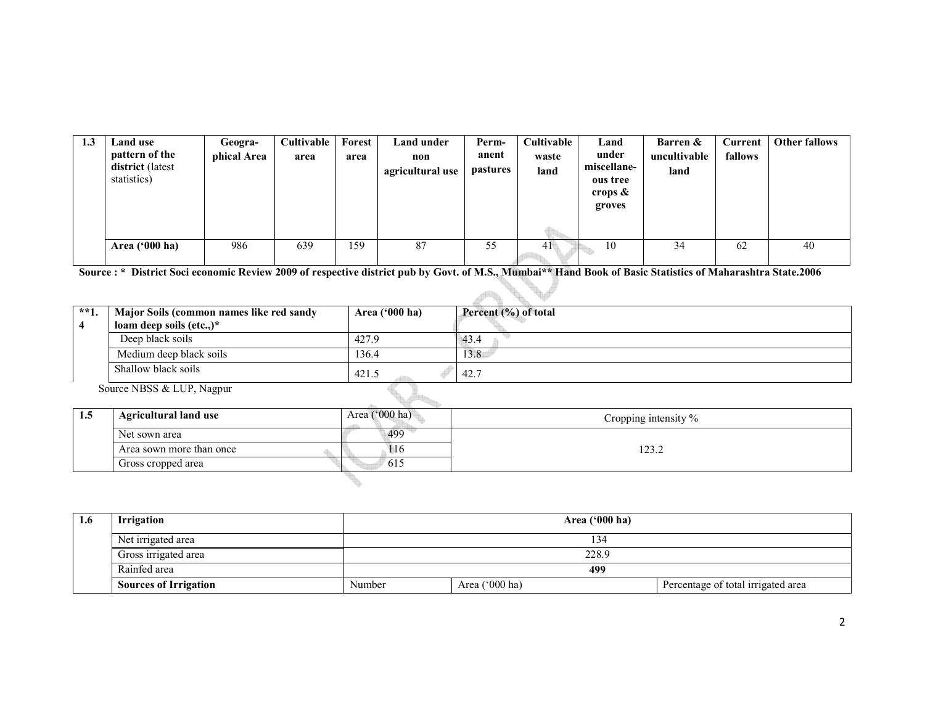| 1.3 | Land use                                          | Geogra-     | Cultivable | Forest | Land under              | Perm-                    | Cultivable    | Land                                                     | Barren &             | Current | <b>Other fallows</b> |
|-----|---------------------------------------------------|-------------|------------|--------|-------------------------|--------------------------|---------------|----------------------------------------------------------|----------------------|---------|----------------------|
|     | pattern of the<br>district (latest<br>statistics) | phical Area | area       | area   | non<br>agricultural use | anent<br><i>pastures</i> | waste<br>land | under<br>miscellane-<br>ous tree<br>crops $\&$<br>groves | uncultivable<br>land | fallows |                      |
|     |                                                   |             |            |        |                         |                          |               |                                                          |                      |         |                      |
|     | Area $(900 \text{ ha})$                           | 986         | 639        | 159    | 87                      | 55                       | 4 I           | 10                                                       | 34                   | 62      | 40                   |

Source : \* District Soci economic Review 2009 of respective district pub by Govt. of M.S., Mumbai\*\* Hand Book of Basic Statistics of Maharashtra State.2006

| $**1.$ | Major Soils (common names like red sandy | Area ('000 ha) | Percent (%) of total |
|--------|------------------------------------------|----------------|----------------------|
|        | loam deep soils (etc.,) $*$              |                |                      |
|        | Deep black soils                         | 427.9          | 43.4                 |
|        | Medium deep black soils                  | 136.4          | 13.8                 |
|        | Shallow black soils                      | 421.5          | 42.7                 |
|        | Source NBSS & LUP, Nagpur                |                |                      |

| -1.5 | <b>Agricultural land use</b> | Area $('000 ha)$ | Cropping intensity % |
|------|------------------------------|------------------|----------------------|
|      | Net sown area                | 499              |                      |
|      | Area sown more than once     | 110              | 23.2                 |
|      | Gross cropped area           | 615              |                      |
|      |                              |                  |                      |

| 1.6 | <b>Irrigation</b>            | Area ('000 ha) |                |                                    |  |  |  |  |
|-----|------------------------------|----------------|----------------|------------------------------------|--|--|--|--|
|     | Net irrigated area           | 134            |                |                                    |  |  |  |  |
|     | Gross irrigated area         |                | 228.9          |                                    |  |  |  |  |
|     | Rainfed area                 |                | 499            |                                    |  |  |  |  |
|     | <b>Sources of Irrigation</b> | Number         | Area ('000 ha) | Percentage of total irrigated area |  |  |  |  |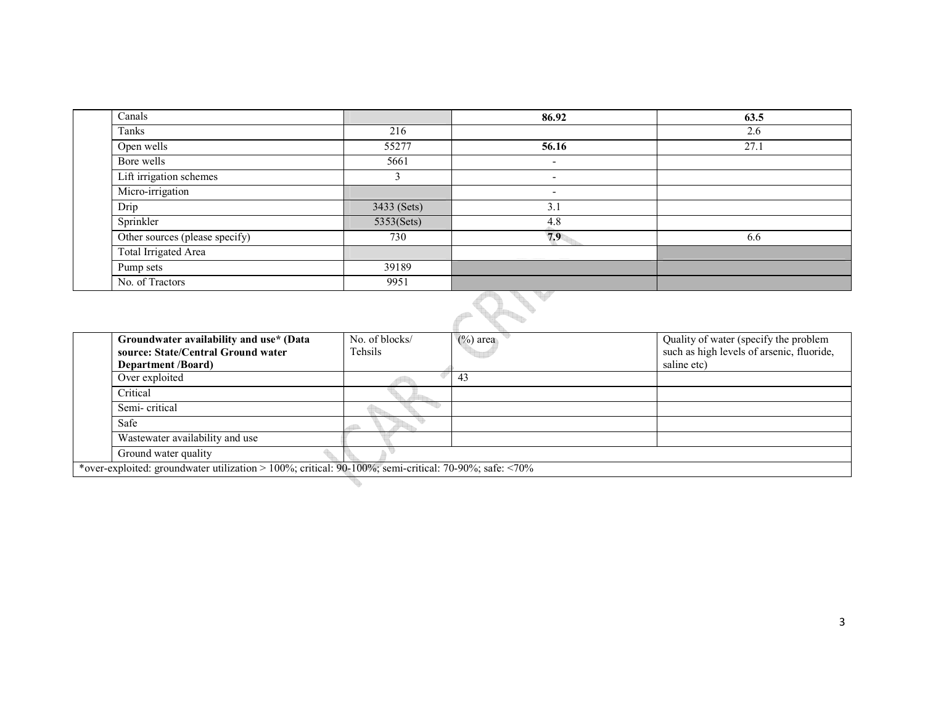| Canals                         |             | 86.92                    | 63.5 |
|--------------------------------|-------------|--------------------------|------|
| Tanks                          | 216         |                          | 2.6  |
| Open wells                     | 55277       | 56.16                    | 27.1 |
| Bore wells                     | 5661        | $\overline{\phantom{a}}$ |      |
| Lift irrigation schemes        |             | $\overline{\phantom{0}}$ |      |
| Micro-irrigation               |             | $\overline{\phantom{a}}$ |      |
| Drip                           | 3433 (Sets) | 3.1                      |      |
| Sprinkler                      | 5353(Sets)  | 4.8                      |      |
| Other sources (please specify) | 730         | 7.9                      | 6.6  |
| Total Irrigated Area           |             |                          |      |
| Pump sets                      | 39189       |                          |      |
| No. of Tractors                | 9951        |                          |      |



|  | Groundwater availability and use* (Data                                                                      | No. of blocks/ | $(\%)$ area | Quality of water (specify the problem     |  |  |
|--|--------------------------------------------------------------------------------------------------------------|----------------|-------------|-------------------------------------------|--|--|
|  | source: State/Central Ground water                                                                           | Tehsils        |             | such as high levels of arsenic, fluoride, |  |  |
|  | <b>Department</b> /Board)                                                                                    |                |             | saline etc)                               |  |  |
|  | Over exploited                                                                                               |                | 43          |                                           |  |  |
|  | Critical                                                                                                     |                |             |                                           |  |  |
|  | Semi-critical                                                                                                |                |             |                                           |  |  |
|  | Safe                                                                                                         |                |             |                                           |  |  |
|  | Wastewater availability and use                                                                              |                |             |                                           |  |  |
|  | Ground water quality                                                                                         |                |             |                                           |  |  |
|  | *over-exploited: groundwater utilization > 100%; critical: 90-100%; semi-critical: 70-90%; safe: $\leq 70\%$ |                |             |                                           |  |  |
|  |                                                                                                              |                |             |                                           |  |  |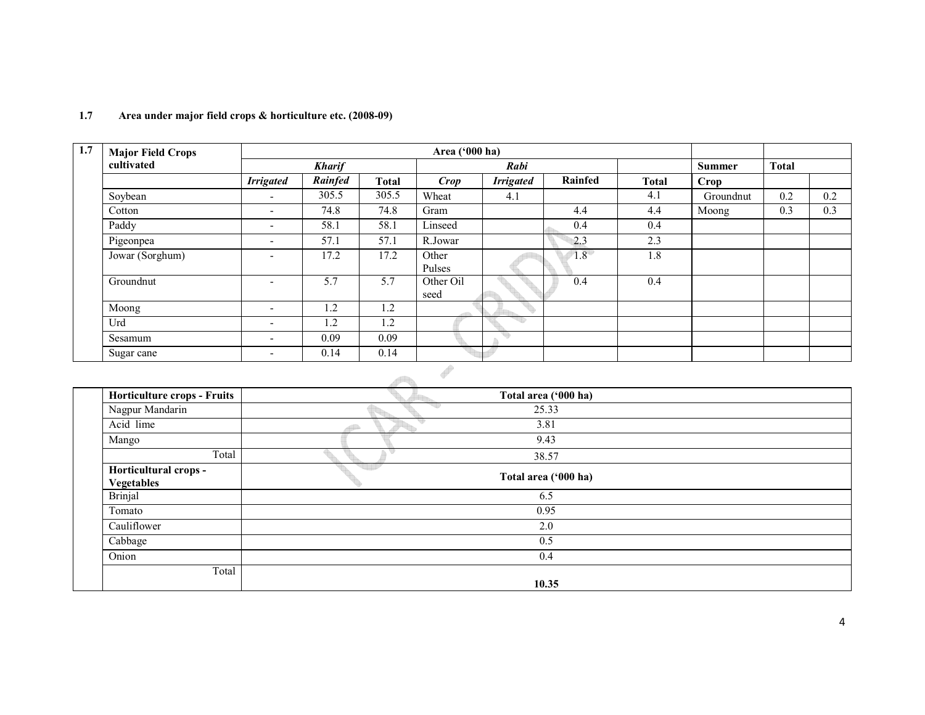| 1.7 | <b>Major Field Crops</b> |                          |               |              | Area ('000 ha)    |                  |         |              |               |              |     |
|-----|--------------------------|--------------------------|---------------|--------------|-------------------|------------------|---------|--------------|---------------|--------------|-----|
|     | cultivated               |                          | <b>Kharif</b> |              |                   | Rabi             |         |              | <b>Summer</b> | <b>Total</b> |     |
|     |                          | <b>Irrigated</b>         | Rainfed       | <b>Total</b> | <b>Crop</b>       | <b>Irrigated</b> | Rainfed | <b>Total</b> | Crop          |              |     |
|     | Soybean                  | $\overline{\phantom{0}}$ | 305.5         | 305.5        | Wheat             | 4.1              |         | 4.1          | Groundnut     | 0.2          | 0.2 |
|     | Cotton                   | $\overline{\phantom{0}}$ | 74.8          | 74.8         | Gram              |                  | 4.4     | 4.4          | Moong         | 0.3          | 0.3 |
|     | Paddy                    | $\overline{\phantom{a}}$ | 58.1          | 58.1         | Linseed           |                  | 0.4     | 0.4          |               |              |     |
|     | Pigeonpea                | $\overline{\phantom{0}}$ | 57.1          | 57.1         | R.Jowar           |                  | 2.3     | 2.3          |               |              |     |
|     | Jowar (Sorghum)          | $\overline{\phantom{a}}$ | 17.2          | 17.2         | Other<br>Pulses   |                  | 1.8     | 1.8          |               |              |     |
|     | Groundnut                | $\overline{\phantom{a}}$ | 5.7           | 5.7          | Other Oil<br>seed |                  | 0.4     | 0.4          |               |              |     |
|     | Moong                    | $\overline{\phantom{a}}$ | 1.2           | 1.2          |                   |                  |         |              |               |              |     |
|     | Urd                      | $\overline{\phantom{a}}$ | 1.2           | 1.2          |                   |                  |         |              |               |              |     |
|     | Sesamum                  | $\overline{\phantom{0}}$ | 0.09          | 0.09         |                   |                  |         |              |               |              |     |
|     | Sugar cane               | $\overline{\phantom{0}}$ | 0.14          | 0.14         |                   |                  |         |              |               |              |     |

# 1.7 Area under major field crops & horticulture etc. (2008-09)

| <b>Horticulture crops - Fruits</b>  | Total area ('000 ha) |  |
|-------------------------------------|----------------------|--|
| Nagpur Mandarin                     | 25.33                |  |
| Acid lime                           | 3.81                 |  |
| Mango                               | 9.43                 |  |
| Total                               | 38.57                |  |
| Horticultural crops -<br>Vegetables | Total area ('000 ha) |  |
| <b>Brinjal</b>                      | 6.5                  |  |
| Tomato                              | 0.95                 |  |
| Cauliflower                         | 2.0                  |  |
| Cabbage                             | 0.5                  |  |
| Onion                               | 0.4                  |  |
| Total                               |                      |  |
|                                     | 10.35                |  |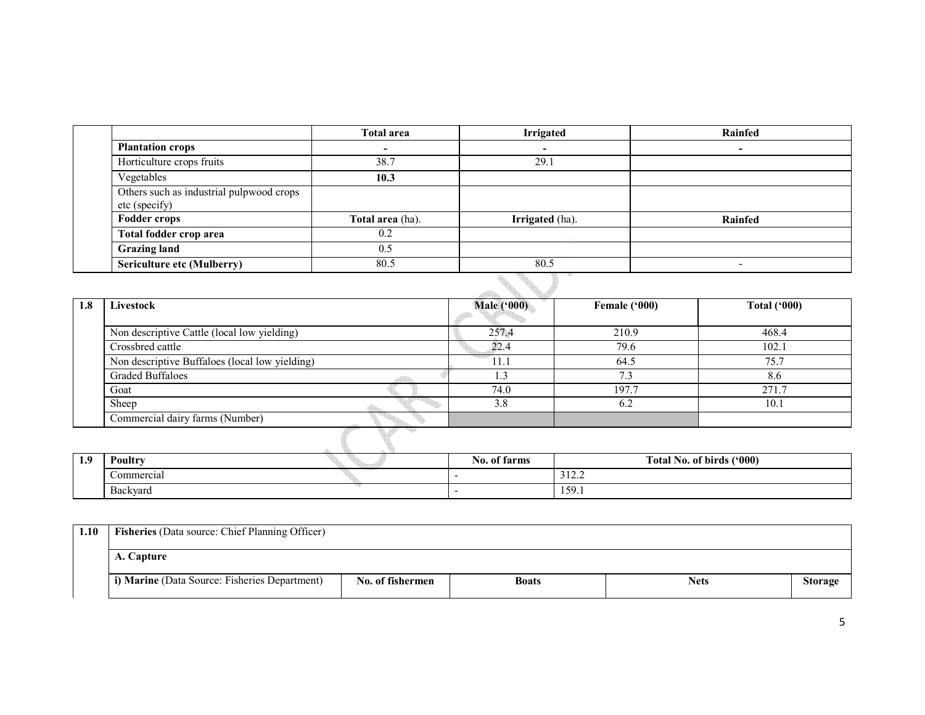|                                                           | <b>Total area</b> | <b>Irrigated</b>       | Rainfed |
|-----------------------------------------------------------|-------------------|------------------------|---------|
| <b>Plantation crops</b>                                   |                   |                        |         |
| Horticulture crops fruits                                 | 38.7              | 29.1                   |         |
| Vegetables                                                | 10.3              |                        |         |
| Others such as industrial pulpwood crops<br>etc (specify) |                   |                        |         |
| <b>Fodder crops</b>                                       | Total area (ha).  | <b>Irrigated</b> (ha). | Rainfed |
| Total fodder crop area                                    | 0.2               |                        |         |
| <b>Grazing land</b>                                       | 0.5               |                        |         |
| <b>Sericulture etc (Mulberry)</b>                         | 80.5              | 80.5                   |         |

| 1.8 | Livestock                                      | <b>Male ('000)</b> | Female ('000) | <b>Total ('000)</b> |
|-----|------------------------------------------------|--------------------|---------------|---------------------|
|     |                                                |                    |               |                     |
|     | Non descriptive Cattle (local low yielding)    | 257.4              | 210.9         | 468.4               |
|     | Crossbred cattle                               | 22.4               | 79.6          | 102.1               |
|     | Non descriptive Buffaloes (local low yielding) |                    | 64.5          | 75.7                |
|     | Graded Buffaloes                               |                    | 7.3           | 8.6                 |
|     | Goat                                           | 74.0               | 197.7         | 271.7               |
|     | Sheep                                          | 3.8                | 6.2           | 10.1                |
|     | Commercial dairy farms (Number)                |                    |               |                     |
|     |                                                |                    |               |                     |

| ∣о<br><b>1.</b> | Poultry         | ` farms<br>N0. 01 | Total No. of birds ('000)    |
|-----------------|-----------------|-------------------|------------------------------|
|                 | Commercial      |                   | 10 <sub>2</sub><br>تەنبە 1 ب |
|                 | <b>Backvard</b> |                   | 159.1                        |

| 1.10 | Fisheries (Data source: Chief Planning Officer) |                  |              |             |                |
|------|-------------------------------------------------|------------------|--------------|-------------|----------------|
|      | A. Capture                                      |                  |              |             |                |
|      | i) Marine (Data Source: Fisheries Department)   | No. of fishermen | <b>Boats</b> | <b>Nets</b> | <b>Storage</b> |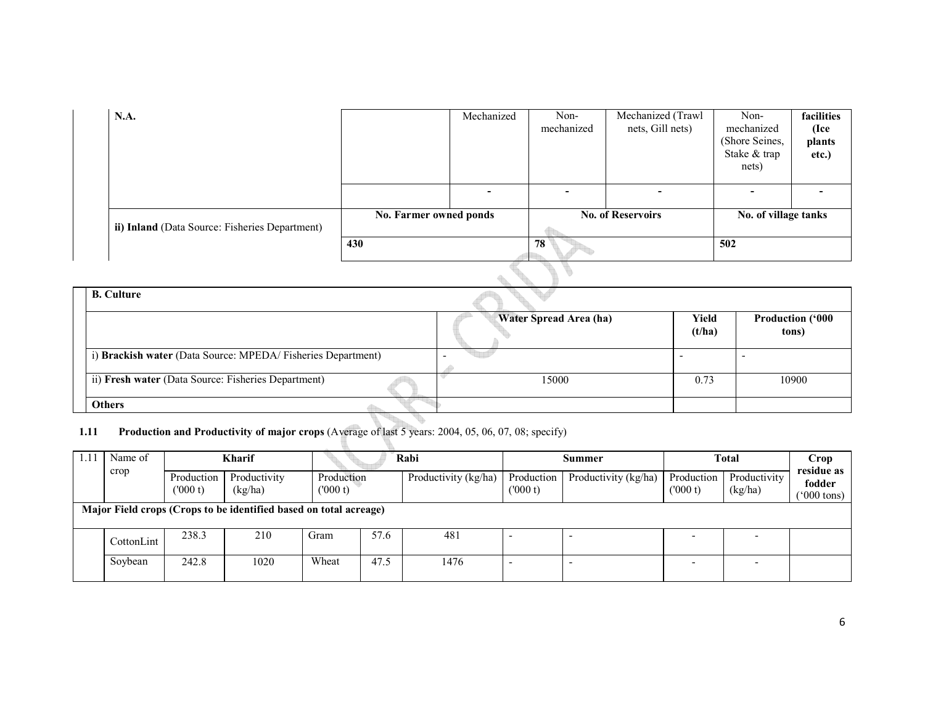| <b>N.A.</b>                                    |                        | Mechanized | Non-<br>mechanized       | Mechanized (Trawl<br>nets, Gill nets) | Non-<br>mechanized<br>(Shore Seines, | facilities<br>(Ice<br>plants |
|------------------------------------------------|------------------------|------------|--------------------------|---------------------------------------|--------------------------------------|------------------------------|
|                                                |                        |            |                          |                                       | Stake & trap<br>nets)                | etc.)                        |
|                                                |                        |            | $\overline{\phantom{0}}$ |                                       |                                      |                              |
| ii) Inland (Data Source: Fisheries Department) | No. Farmer owned ponds |            | <b>No. of Reservoirs</b> |                                       | No. of village tanks                 |                              |
|                                                | 430                    |            | 78                       |                                       | 502                                  |                              |
|                                                |                        |            |                          |                                       |                                      |                              |

| <b>B.</b> Culture                                           |                        |                 |                                  |
|-------------------------------------------------------------|------------------------|-----------------|----------------------------------|
|                                                             | Water Spread Area (ha) | Yield<br>(t/ha) | <b>Production ('000</b><br>tons) |
| i) Brackish water (Data Source: MPEDA/Fisheries Department) |                        |                 |                                  |
| ii) Fresh water (Data Source: Fisheries Department)         | 15000                  | 0.73            | 10900                            |
|                                                             |                        |                 |                                  |
| <b>Others</b>                                               |                        |                 |                                  |

#### 1.11 Production and Productivity of major crops (Average of last 5 years: 2004, 05, 06, 07, 08; specify)

u.

S.

| Name of                                                           | <b>Kharif</b>         |                         |                       | Rabi |                      | Summer                |                      | <b>Total</b>          |                         | Crop<br>residue as              |
|-------------------------------------------------------------------|-----------------------|-------------------------|-----------------------|------|----------------------|-----------------------|----------------------|-----------------------|-------------------------|---------------------------------|
| crop                                                              | Production<br>(000 t) | Productivity<br>(kg/ha) | Production<br>(000 t) |      | Productivity (kg/ha) | Production<br>(000 t) | Productivity (kg/ha) | Production<br>(000 t) | Productivity<br>(kg/ha) | fodder<br>$(5000 \text{ tons})$ |
| Major Field crops (Crops to be identified based on total acreage) |                       |                         |                       |      |                      |                       |                      |                       |                         |                                 |
| CottonLint                                                        | 238.3                 | 210                     | Gram                  | 57.6 | 481                  |                       |                      |                       | -                       |                                 |
| Soybean                                                           | 242.8                 | 1020                    | Wheat                 | 47.5 | 1476                 |                       |                      |                       |                         |                                 |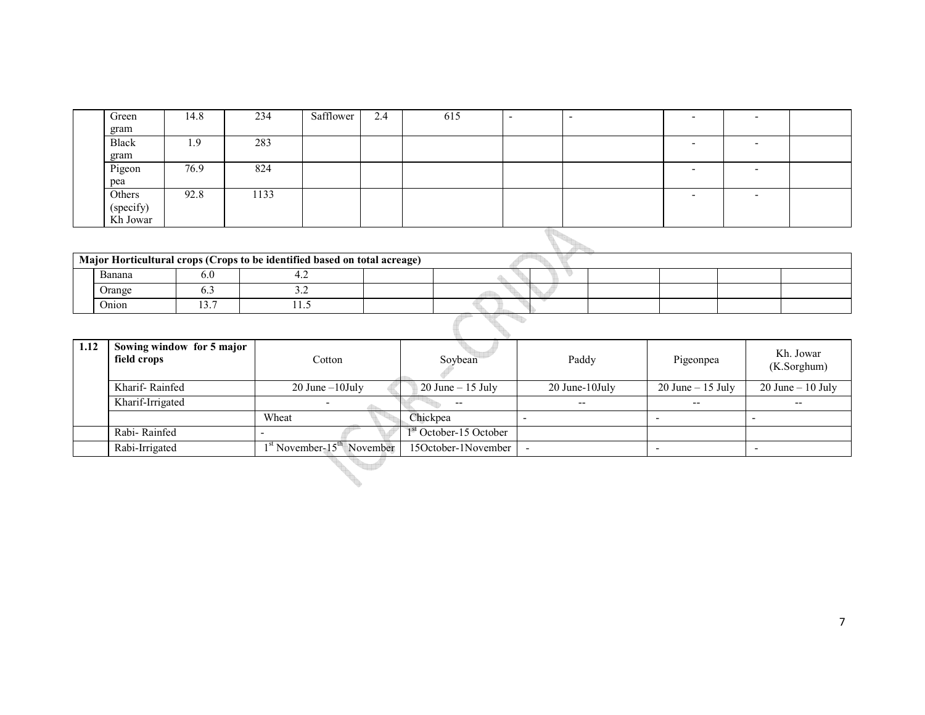| Green        | 14.8 | 234  | Safflower | 2.4 | 615 | $\sim$ |  |  |
|--------------|------|------|-----------|-----|-----|--------|--|--|
| gram         |      |      |           |     |     |        |  |  |
| <b>Black</b> | 1.9  | 283  |           |     |     |        |  |  |
| gram         |      |      |           |     |     |        |  |  |
| Pigeon       | 76.9 | 824  |           |     |     |        |  |  |
| pea          |      |      |           |     |     |        |  |  |
| Others       | 92.8 | 1133 |           |     |     |        |  |  |
| (specify)    |      |      |           |     |     |        |  |  |
| Kh Jowar     |      |      |           |     |     |        |  |  |

| KII JOWAI                                                                 |  |         |  |  |  |  |  |  |
|---------------------------------------------------------------------------|--|---------|--|--|--|--|--|--|
|                                                                           |  |         |  |  |  |  |  |  |
| Major Horticultural crops (Crops to be identified based on total acreage) |  |         |  |  |  |  |  |  |
| Banana                                                                    |  |         |  |  |  |  |  |  |
| Orange                                                                    |  | ے ۔     |  |  |  |  |  |  |
| Onion                                                                     |  | ن . 1 . |  |  |  |  |  |  |

| 1.12 | Sowing window for 5 major<br>field crops | Cotton                                   | Soybean                            | Paddy          | Pigeonpea            | Kh. Jowar<br>(K.Sorghum) |  |  |  |  |
|------|------------------------------------------|------------------------------------------|------------------------------------|----------------|----------------------|--------------------------|--|--|--|--|
|      | Kharif-Rainfed                           | $20$ June $-10$ July                     | $20$ June $-15$ July               | 20 June-10July | $20$ June $-15$ July | $20$ June $-10$ July     |  |  |  |  |
|      | Kharif-Irrigated                         |                                          |                                    | $- -$          | $- -$                | $- -$                    |  |  |  |  |
|      |                                          | Wheat                                    | Chickpea                           |                |                      |                          |  |  |  |  |
|      | Rabi-Rainfed                             |                                          | 1 <sup>st</sup> October-15 October |                |                      |                          |  |  |  |  |
|      | Rabi-Irrigated                           | $1st$ November-15 <sup>th</sup> November | 15October-1November                |                |                      |                          |  |  |  |  |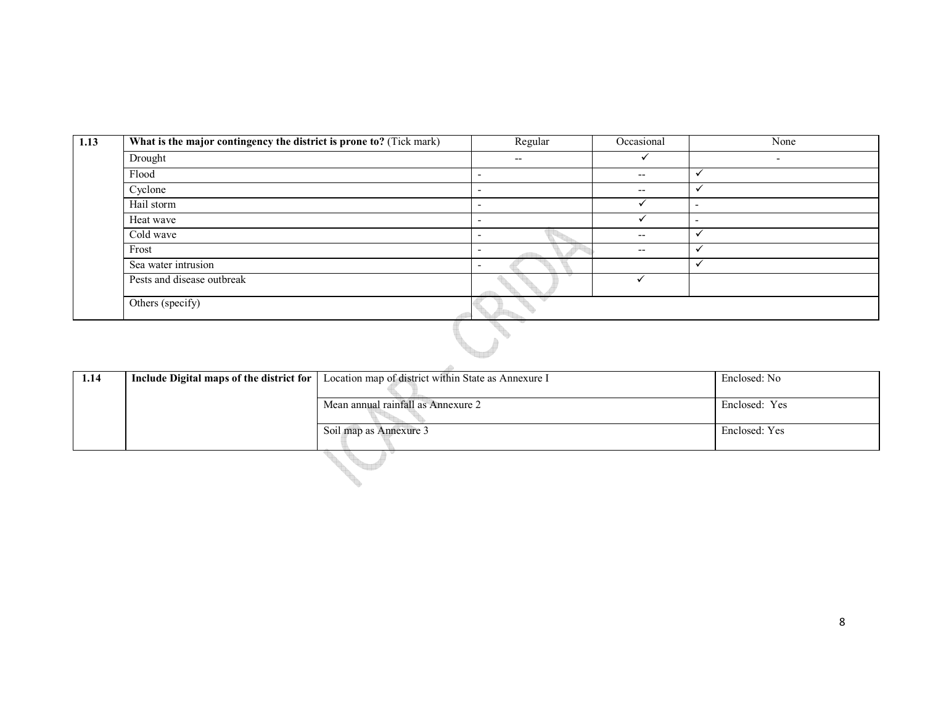| 1.13 | What is the major contingency the district is prone to? (Tick mark) | Regular                  | Occasional               | None                     |
|------|---------------------------------------------------------------------|--------------------------|--------------------------|--------------------------|
|      | Drought                                                             | $\overline{\phantom{a}}$ |                          | $\overline{\phantom{0}}$ |
|      | Flood                                                               |                          | $- -$                    | √                        |
|      | Cyclone                                                             |                          | $\overline{\phantom{a}}$ |                          |
|      | Hail storm                                                          |                          |                          | $\overline{\phantom{0}}$ |
|      | Heat wave                                                           | -                        |                          | $\overline{\phantom{0}}$ |
|      | Cold wave                                                           | $\overline{\phantom{0}}$ | $- -$                    | ✔                        |
|      | Frost                                                               | -                        | $\overline{\phantom{a}}$ | v                        |
|      | Sea water intrusion                                                 |                          |                          |                          |
|      | Pests and disease outbreak                                          |                          |                          |                          |
|      | Others (specify)                                                    |                          |                          |                          |

|      | Others (specify)                         |                                                     |               |  |  |  |
|------|------------------------------------------|-----------------------------------------------------|---------------|--|--|--|
|      |                                          |                                                     |               |  |  |  |
| 1.14 | Include Digital maps of the district for | Location map of district within State as Annexure I | Enclosed: No  |  |  |  |
|      |                                          | Enclosed: Yes                                       |               |  |  |  |
|      |                                          | Soil map as Annexure 3                              | Enclosed: Yes |  |  |  |
|      |                                          |                                                     |               |  |  |  |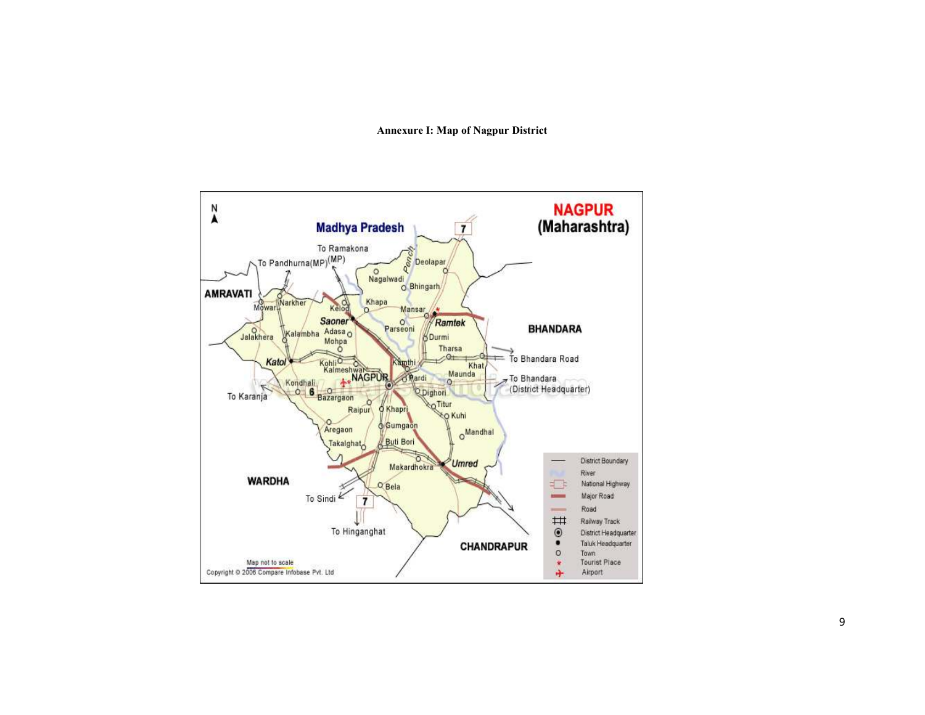Annexure I: Map of Nagpur District

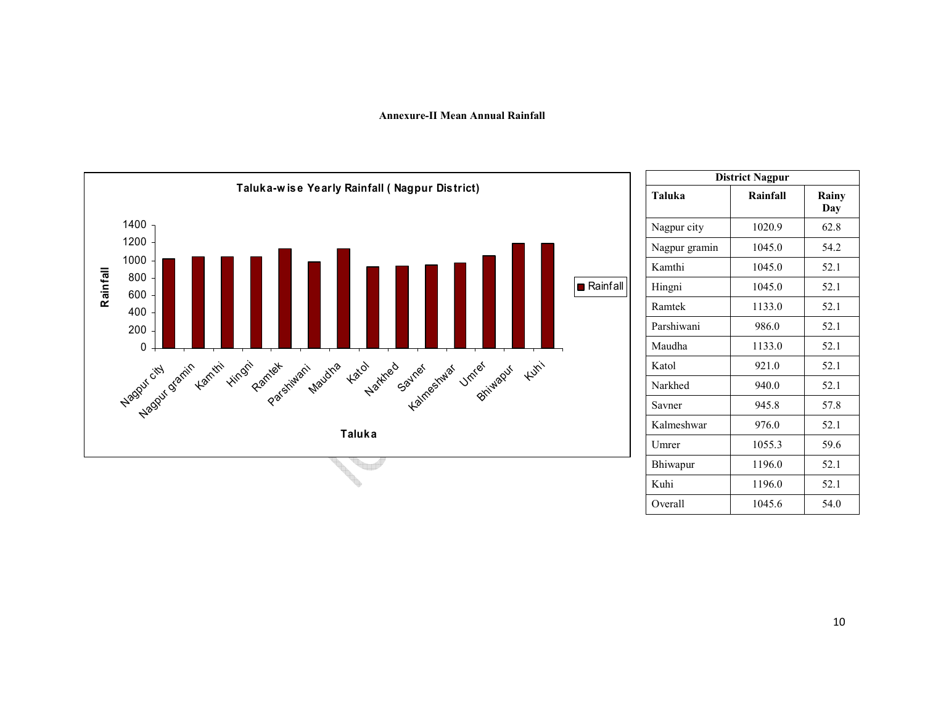#### Annexure-II Mean Annual Rainfall



| <b>District Nagpur</b> |          |              |  |  |  |
|------------------------|----------|--------------|--|--|--|
| Taluka                 | Rainfall | Rainy<br>Day |  |  |  |
| Nagpur city            | 1020.9   | 62.8         |  |  |  |
| Nagpur gramin          | 1045.0   | 54.2         |  |  |  |
| Kamthi                 | 1045.0   | 52.1         |  |  |  |
| Hingni                 | 1045.0   | 52.1         |  |  |  |
| Ramtek                 | 1133.0   | 52.1         |  |  |  |
| Parshiwani             | 986.0    | 52.1         |  |  |  |
| Maudha                 | 1133.0   | 52.1         |  |  |  |
| Katol                  | 921.0    | 52.1         |  |  |  |
| Narkhed                | 940.0    | 52.1         |  |  |  |
| Savner                 | 945.8    | 57.8         |  |  |  |
| Kalmeshwar             | 976.0    | 52.1         |  |  |  |
| Umrer                  | 1055.3   | 59.6         |  |  |  |
| Bhiwapur               | 1196.0   | 52.1         |  |  |  |
| Kuhi                   | 1196.0   | 52.1         |  |  |  |
| Overall                | 1045.6   | 54.0         |  |  |  |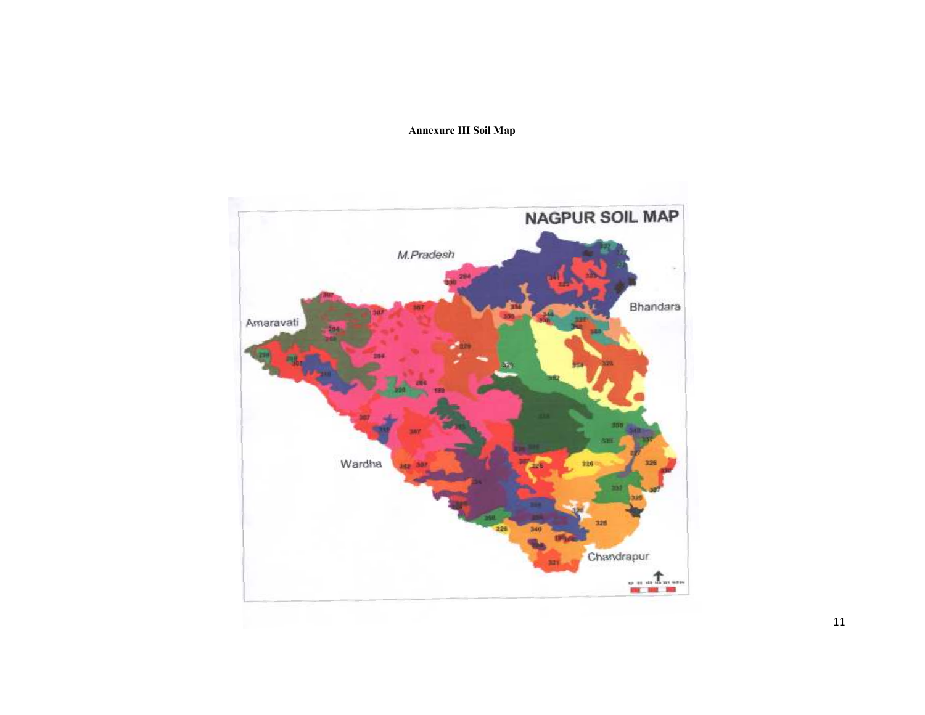# Annexure III Soil Map

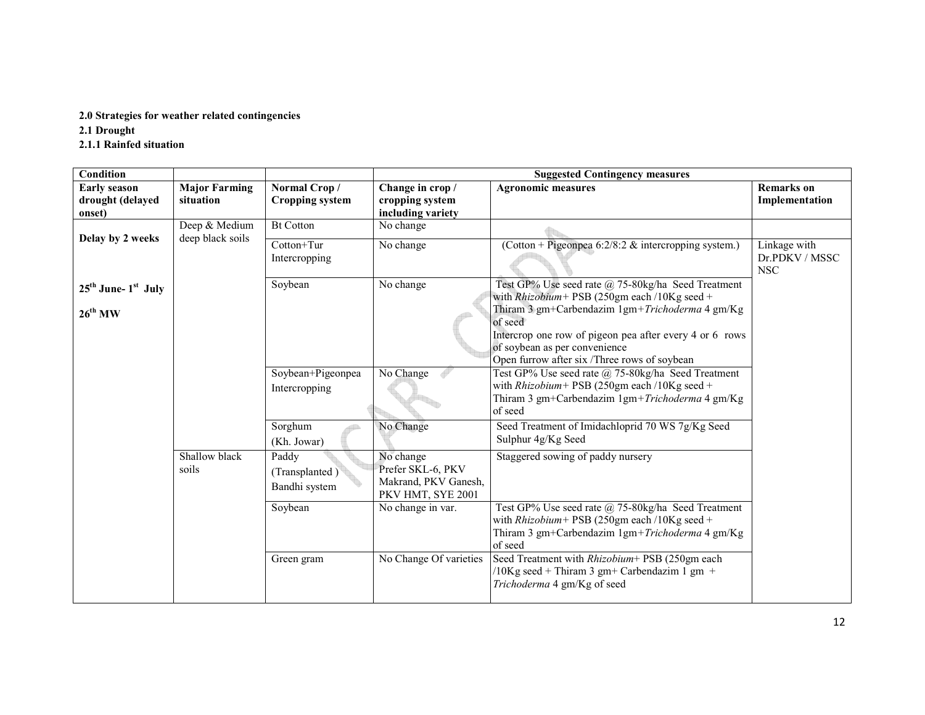# 2.0 Strategies for weather related contingencies

2.1 Drought

2.1.1 Rainfed situation

| <b>Condition</b>                                  |                                   |                                        | <b>Suggested Contingency measures</b>                    |                                                                                                       |                                              |  |  |
|---------------------------------------------------|-----------------------------------|----------------------------------------|----------------------------------------------------------|-------------------------------------------------------------------------------------------------------|----------------------------------------------|--|--|
| <b>Early season</b><br>drought (delayed<br>onset) | <b>Major Farming</b><br>situation | Normal Crop/<br><b>Cropping system</b> | Change in crop /<br>cropping system<br>including variety | <b>Agronomic measures</b>                                                                             | <b>Remarks</b> on<br>Implementation          |  |  |
|                                                   | Deep & Medium                     | <b>Bt Cotton</b>                       | No change                                                |                                                                                                       |                                              |  |  |
| Delay by 2 weeks                                  | deep black soils                  |                                        |                                                          |                                                                                                       |                                              |  |  |
|                                                   |                                   | $Cotton+Tur$<br>Intercropping          | No change                                                | (Cotton + Pigeonpea 6:2/8:2 & intercropping system.)                                                  | Linkage with<br>Dr.PDKV / MSSC<br><b>NSC</b> |  |  |
| $25th$ June- $1st$ July                           |                                   | Soybean                                | No change                                                | Test GP% Use seed rate @ 75-80kg/ha Seed Treatment                                                    |                                              |  |  |
|                                                   |                                   |                                        |                                                          | with $Rhizobium$ + PSB (250gm each /10Kg seed +<br>Thiram 3 gm+Carbendazim 1gm+Trichoderma 4 gm/Kg    |                                              |  |  |
| $26^{th}$ MW                                      |                                   |                                        |                                                          | of seed                                                                                               |                                              |  |  |
|                                                   |                                   |                                        |                                                          | Intercrop one row of pigeon pea after every 4 or 6 rows                                               |                                              |  |  |
|                                                   |                                   |                                        |                                                          | of soybean as per convenience                                                                         |                                              |  |  |
|                                                   |                                   |                                        |                                                          | Open furrow after six /Three rows of soybean                                                          |                                              |  |  |
|                                                   |                                   | Soybean+Pigeonpea                      | No Change                                                | Test GP% Use seed rate @ 75-80kg/ha Seed Treatment                                                    |                                              |  |  |
|                                                   |                                   | Intercropping                          |                                                          | with $Rhizobium$ + PSB (250gm each /10Kg seed +                                                       |                                              |  |  |
|                                                   |                                   |                                        |                                                          | Thiram 3 gm+Carbendazim 1gm+Trichoderma 4 gm/Kg                                                       |                                              |  |  |
|                                                   |                                   |                                        |                                                          | of seed                                                                                               |                                              |  |  |
|                                                   |                                   | Sorghum                                | No Change                                                | Seed Treatment of Imidachloprid 70 WS 7g/Kg Seed                                                      |                                              |  |  |
|                                                   |                                   | (Kh. Jowar)                            |                                                          | Sulphur 4g/Kg Seed                                                                                    |                                              |  |  |
|                                                   | Shallow black                     | Paddy                                  | No change                                                | Staggered sowing of paddy nursery                                                                     |                                              |  |  |
|                                                   | soils                             | (Transplanted)                         | Prefer SKL-6, PKV                                        |                                                                                                       |                                              |  |  |
|                                                   |                                   | Bandhi system                          | Makrand, PKV Ganesh,                                     |                                                                                                       |                                              |  |  |
|                                                   |                                   |                                        | PKV HMT, SYE 2001                                        |                                                                                                       |                                              |  |  |
|                                                   |                                   | Soybean                                | No change in var.                                        | Test GP% Use seed rate @ 75-80kg/ha Seed Treatment<br>with $Rhizobium$ + PSB (250gm each /10Kg seed + |                                              |  |  |
|                                                   |                                   |                                        |                                                          | Thiram 3 gm+Carbendazim 1gm+Trichoderma 4 gm/Kg                                                       |                                              |  |  |
|                                                   |                                   |                                        |                                                          | of seed                                                                                               |                                              |  |  |
|                                                   |                                   | Green gram                             | No Change Of varieties                                   | Seed Treatment with Rhizobium+ PSB (250gm each                                                        |                                              |  |  |
|                                                   |                                   |                                        |                                                          | $10Kg$ seed + Thiram 3 gm+ Carbendazim 1 gm +                                                         |                                              |  |  |
|                                                   |                                   |                                        |                                                          | Trichoderma 4 gm/Kg of seed                                                                           |                                              |  |  |
|                                                   |                                   |                                        |                                                          |                                                                                                       |                                              |  |  |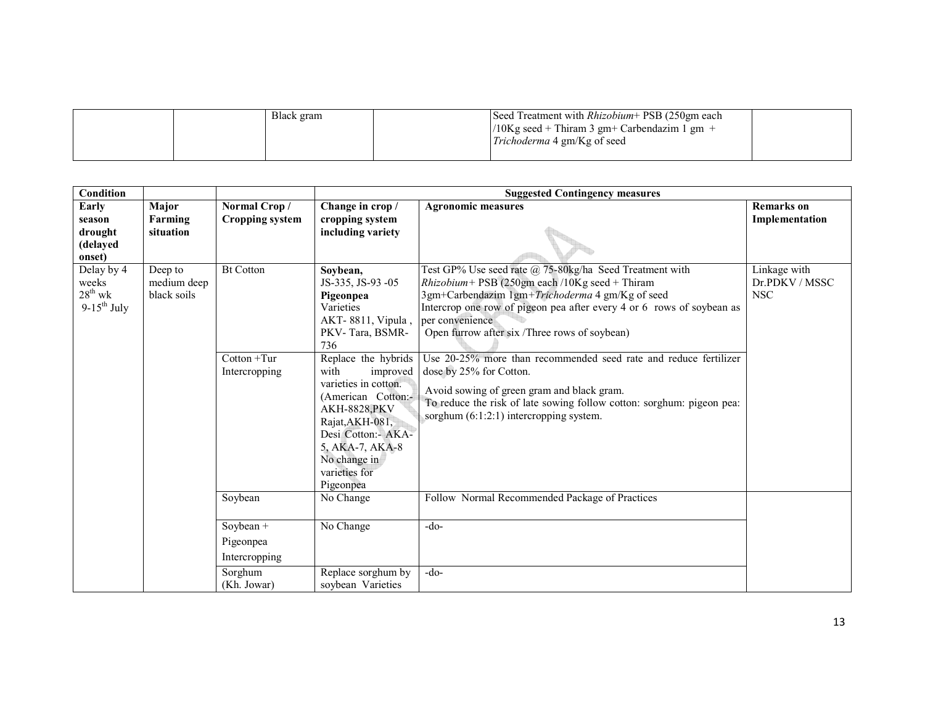| Black gram | Seed Treatment with <i>Rhizobium</i> + PSB (250gm each |  |
|------------|--------------------------------------------------------|--|
|            | $10Kg$ seed + Thiram 3 gm+ Carbendazim 1 gm +          |  |
|            | <i>Trichoderma</i> 4 gm/Kg of seed                     |  |
|            |                                                        |  |

| <b>Condition</b>                                        |                                       |                                                     |                                                                                                                                                                              | <b>Suggested Contingency measures</b>                                                                                                                                                                                                                                                                                                                                                                       |                                              |  |  |
|---------------------------------------------------------|---------------------------------------|-----------------------------------------------------|------------------------------------------------------------------------------------------------------------------------------------------------------------------------------|-------------------------------------------------------------------------------------------------------------------------------------------------------------------------------------------------------------------------------------------------------------------------------------------------------------------------------------------------------------------------------------------------------------|----------------------------------------------|--|--|
| Early                                                   | Major                                 | Normal Crop/                                        | Change in crop /                                                                                                                                                             | <b>Agronomic measures</b>                                                                                                                                                                                                                                                                                                                                                                                   | <b>Remarks</b> on                            |  |  |
| season<br>drought<br>(delayed<br>onset)                 | Farming<br>situation                  | Cropping system                                     | cropping system<br>including variety                                                                                                                                         |                                                                                                                                                                                                                                                                                                                                                                                                             | Implementation                               |  |  |
| Delay by 4<br>weeks<br>$28^{th}$ wk<br>$9-15^{th}$ July | Deep to<br>medium deep<br>black soils | <b>Bt Cotton</b><br>$Cottom + Tur$<br>Intercropping | Soybean,<br>JS-335, JS-93 -05<br>Pigeonpea<br>Varieties<br>AKT-8811, Vipula,<br>PKV-Tara, BSMR-<br>736<br>Replace the hybrids<br>with<br>improved                            | Test GP% Use seed rate @ 75-80kg/ha Seed Treatment with<br>$Rhizobium$ + PSB (250gm each /10Kg seed + Thiram<br>3gm+Carbendazim 1gm+Trichoderma 4 gm/Kg of seed<br>Intercrop one row of pigeon pea after every 4 or 6 rows of soybean as<br>per convenience<br>Open furrow after six /Three rows of soybean)<br>Use 20-25% more than recommended seed rate and reduce fertilizer<br>dose by 25% for Cotton. | Linkage with<br>Dr.PDKV / MSSC<br><b>NSC</b> |  |  |
|                                                         |                                       |                                                     | varieties in cotton.<br>(American Cotton:-<br><b>AKH-8828, PKV</b><br>Rajat, AKH-081,<br>Desi Cotton:- AKA-<br>5, AKA-7, AKA-8<br>No change in<br>varieties for<br>Pigeonpea | Avoid sowing of green gram and black gram.<br>To reduce the risk of late sowing follow cotton: sorghum: pigeon pea:<br>sorghum $(6:1:2:1)$ intercropping system.                                                                                                                                                                                                                                            |                                              |  |  |
|                                                         |                                       | Soybean                                             | No Change                                                                                                                                                                    | Follow Normal Recommended Package of Practices                                                                                                                                                                                                                                                                                                                                                              |                                              |  |  |
|                                                         |                                       | Soybean $+$<br>Pigeonpea<br>Intercropping           | No Change                                                                                                                                                                    | $-do-$                                                                                                                                                                                                                                                                                                                                                                                                      |                                              |  |  |
|                                                         |                                       | Sorghum<br>(Kh. Jowar)                              | Replace sorghum by<br>soybean Varieties                                                                                                                                      | $-do-$                                                                                                                                                                                                                                                                                                                                                                                                      |                                              |  |  |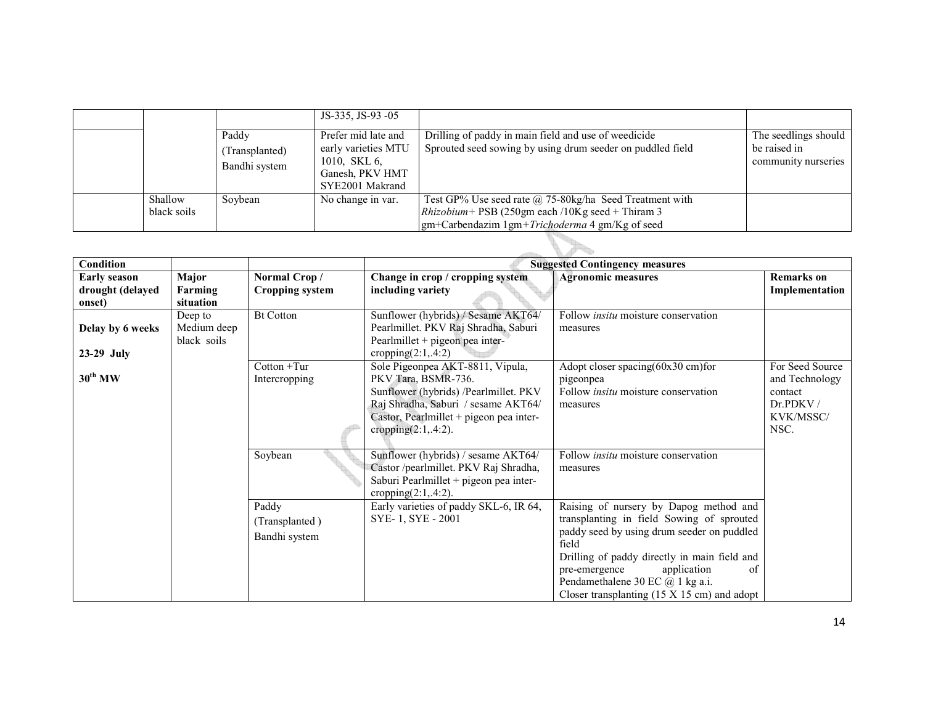|             |                | JS-335, JS-93 -05   |                                                            |                      |
|-------------|----------------|---------------------|------------------------------------------------------------|----------------------|
|             | Paddy          | Prefer mid late and | Drilling of paddy in main field and use of weedicide       | The seedlings should |
|             | (Transplanted) | early varieties MTU | Sprouted seed sowing by using drum seeder on puddled field | be raised in         |
|             | Bandhi system  | 1010, SKL 6,        |                                                            | community nurseries  |
|             |                | Ganesh, PKV HMT     |                                                            |                      |
|             |                | SYE2001 Makrand     |                                                            |                      |
| Shallow     | Soybean        | No change in var.   | Test GP% Use seed rate $@$ 75-80kg/ha Seed Treatment with  |                      |
| black soils |                |                     | <i>Rhizobium</i> + PSB (250gm each /10Kg seed + Thiram 3   |                      |
|             |                |                     | $g$ m+Carbendazim 1gm+ <i>Trichoderma</i> 4 gm/Kg of seed  |                      |
|             |                |                     |                                                            |                      |

| <b>Condition</b>    |             |                        |                                                                   | <b>Suggested Contingency measures</b>                                                   |                   |
|---------------------|-------------|------------------------|-------------------------------------------------------------------|-----------------------------------------------------------------------------------------|-------------------|
| <b>Early season</b> | Major       | Normal Crop/           | Change in crop / cropping system                                  | <b>Agronomic measures</b>                                                               | <b>Remarks</b> on |
| drought (delayed    | Farming     | <b>Cropping system</b> | including variety                                                 |                                                                                         | Implementation    |
| onset)              | situation   |                        |                                                                   |                                                                                         |                   |
|                     | Deep to     | <b>Bt Cotton</b>       | Sunflower (hybrids) / Sesame AKT64/                               | Follow <i>insitu</i> moisture conservation                                              |                   |
| Delay by 6 weeks    | Medium deep |                        | Pearlmillet. PKV Raj Shradha, Saburi                              | measures                                                                                |                   |
|                     | black soils |                        | Pearlmillet + pigeon pea inter-                                   |                                                                                         |                   |
| $23-29$ July        |             |                        | cropping $(2:1, 4:2)$                                             |                                                                                         |                   |
|                     |             | $Cottom + Tur$         | Sole Pigeonpea AKT-8811, Vipula,                                  | Adopt closer spacing $(60x30$ cm $)$ for                                                | For Seed Source   |
| $30^{th}$ MW        |             | Intercropping          | PKV Tara, BSMR-736.                                               | pigeonpea                                                                               | and Technology    |
|                     |             |                        | Sunflower (hybrids) /Pearlmillet. PKV                             | Follow <i>insitu</i> moisture conservation                                              | contact           |
|                     |             |                        | Raj Shradha, Saburi / sesame AKT64/                               | measures                                                                                | Dr.PDKV/          |
|                     |             |                        | Castor, Pearlmillet + pigeon pea inter-                           |                                                                                         | KVK/MSSC/         |
|                     |             |                        | cropping $(2:1, 4:2)$ .                                           |                                                                                         | NSC.              |
|                     |             |                        |                                                                   |                                                                                         |                   |
|                     |             | Soybean                | Sunflower (hybrids) / sesame AKT64/                               | Follow <i>insitu</i> moisture conservation                                              |                   |
|                     |             |                        | Castor /pearlmillet. PKV Raj Shradha,                             | measures                                                                                |                   |
|                     |             |                        | Saburi Pearlmillet + pigeon pea inter-                            |                                                                                         |                   |
|                     |             | Paddy                  | cropping $(2:1, 4:2)$ .<br>Early varieties of paddy SKL-6, IR 64, | Raising of nursery by Dapog method and                                                  |                   |
|                     |             |                        |                                                                   |                                                                                         |                   |
|                     |             | (Transplanted)         | SYE-1, SYE-2001                                                   | transplanting in field Sowing of sprouted<br>paddy seed by using drum seeder on puddled |                   |
|                     |             | Bandhi system          |                                                                   | field                                                                                   |                   |
|                     |             |                        |                                                                   | Drilling of paddy directly in main field and                                            |                   |
|                     |             |                        |                                                                   | application<br>pre-emergence<br>of                                                      |                   |
|                     |             |                        |                                                                   | Pendamethalene 30 EC $(a)$ 1 kg a.i.                                                    |                   |
|                     |             |                        |                                                                   | Closer transplanting $(15 \times 15 \text{ cm})$ and adopt                              |                   |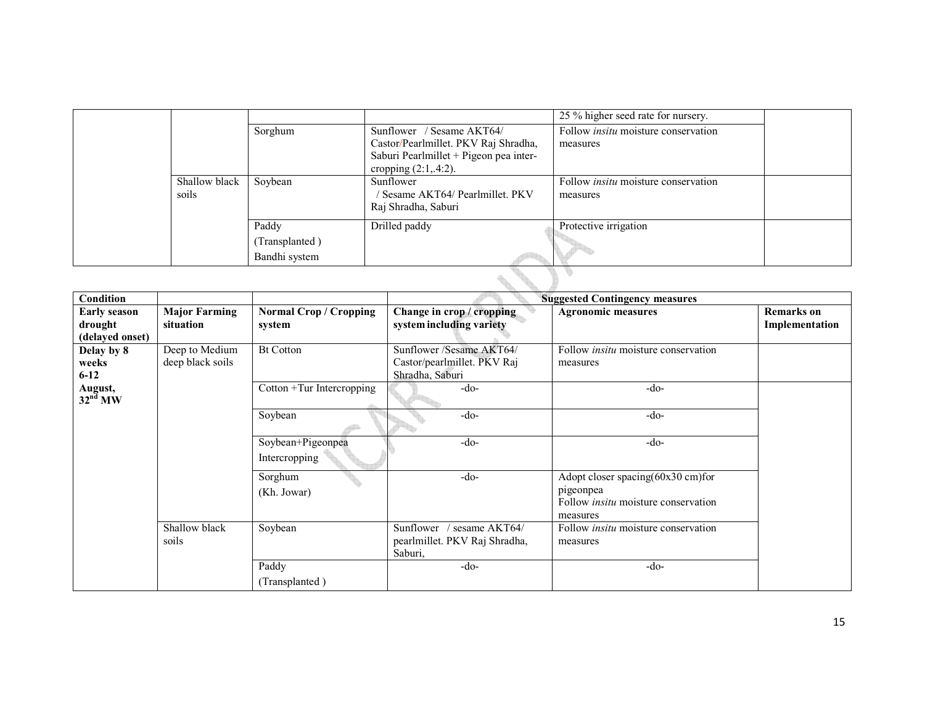|  |               |                |                                        | 25 % higher seed rate for nursery.         |  |  |
|--|---------------|----------------|----------------------------------------|--------------------------------------------|--|--|
|  |               | Sorghum        | Sunflower / Sesame AKT64/              | Follow <i>insitu</i> moisture conservation |  |  |
|  |               |                | Castor/Pearlmillet. PKV Raj Shradha,   | measures                                   |  |  |
|  |               |                | Saburi Pearlmillet + Pigeon pea inter- |                                            |  |  |
|  |               |                | cropping $(2:1, 4:2)$ .                |                                            |  |  |
|  | Shallow black | Soybean        | Sunflower                              | Follow <i>insitu</i> moisture conservation |  |  |
|  | soils         |                | Sesame AKT64/Pearlmillet. PKV          | measures                                   |  |  |
|  |               |                | Raj Shradha, Saburi                    |                                            |  |  |
|  |               | Paddy          | Drilled paddy                          | Protective irrigation                      |  |  |
|  |               | (Transplanted) |                                        |                                            |  |  |
|  |               | Bandhi system  |                                        |                                            |  |  |
|  |               |                |                                        |                                            |  |  |

| <b>Condition</b>                                  |                                    |                                                |                                                                             | <b>Suggested Contingency measures</b>                                                                    |                                     |
|---------------------------------------------------|------------------------------------|------------------------------------------------|-----------------------------------------------------------------------------|----------------------------------------------------------------------------------------------------------|-------------------------------------|
| <b>Early season</b><br>drought<br>(delayed onset) | <b>Major Farming</b><br>situation  | <b>Normal Crop / Cropping</b><br>system        | Change in crop / cropping<br>system including variety                       | <b>Agronomic measures</b>                                                                                | <b>Remarks</b> on<br>Implementation |
| Delay by 8<br>weeks<br>$6 - 12$                   | Deep to Medium<br>deep black soils | <b>Bt Cotton</b>                               | Sunflower / Sesame AKT64/<br>Castor/pearlmillet. PKV Raj<br>Shradha, Saburi | Follow <i>insitu</i> moisture conservation<br>measures                                                   |                                     |
| August,<br>32 <sup>nd</sup> MW                    |                                    | $\overline{\text{Cotton}}$ + Tur Intercropping | $-do-$                                                                      | $-do-$                                                                                                   |                                     |
|                                                   |                                    | Soybean                                        | $-do-$                                                                      | $-do-$                                                                                                   |                                     |
|                                                   |                                    | Soybean+Pigeonpea<br>Intercropping             | $-do-$                                                                      | $-do-$                                                                                                   |                                     |
|                                                   |                                    | Sorghum<br>(Kh. Jowar)                         | $-do-$                                                                      | Adopt closer spacing(60x30 cm)for<br>pigeonpea<br>Follow <i>insitu</i> moisture conservation<br>measures |                                     |
|                                                   | Shallow black<br>soils             | Soybean                                        | Sunflower / sesame AKT64/<br>pearlmillet. PKV Raj Shradha,<br>Saburi,       | Follow <i>insitu</i> moisture conservation<br>measures                                                   |                                     |
|                                                   |                                    | Paddy<br>(Transplanted)                        | $-do-$                                                                      | $-do-$                                                                                                   |                                     |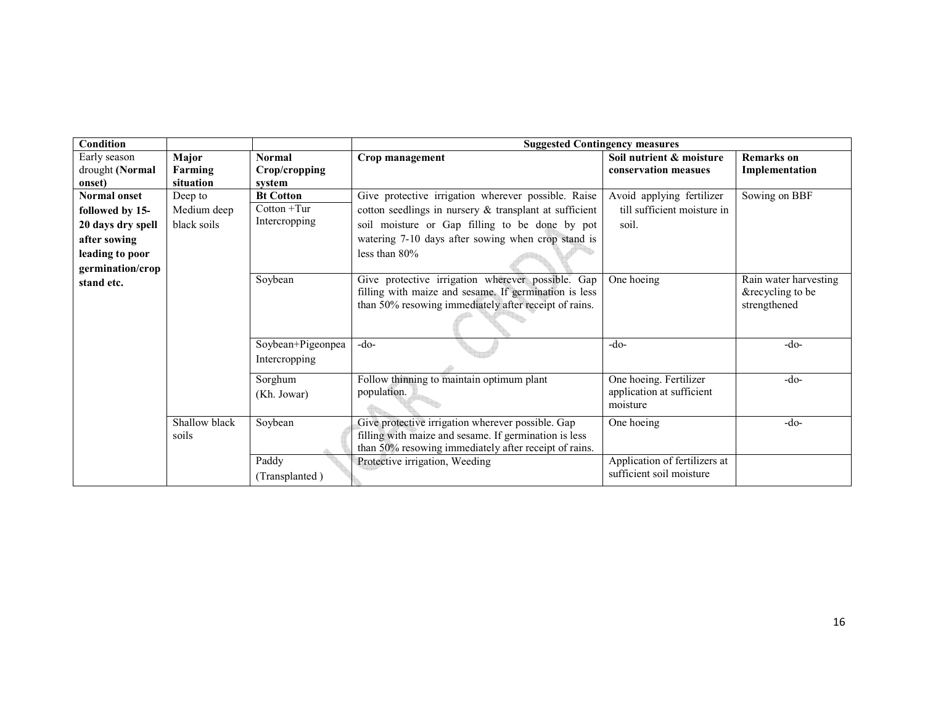| <b>Condition</b>                          |                               |                                          |                                                                                                                                                                     | <b>Suggested Contingency measures</b>                           |                                                           |  |  |
|-------------------------------------------|-------------------------------|------------------------------------------|---------------------------------------------------------------------------------------------------------------------------------------------------------------------|-----------------------------------------------------------------|-----------------------------------------------------------|--|--|
| Early season<br>drought (Normal<br>onset) | Major<br>Farming<br>situation | <b>Normal</b><br>Crop/cropping<br>system | Crop management                                                                                                                                                     | Soil nutrient & moisture<br>conservation measues                | <b>Remarks</b> on<br>Implementation                       |  |  |
| <b>Normal onset</b>                       | Deep to                       | <b>Bt Cotton</b>                         | Give protective irrigation wherever possible. Raise                                                                                                                 | Avoid applying fertilizer                                       | Sowing on BBF                                             |  |  |
| followed by 15-                           | Medium deep                   | $Cottom + Tur$                           | cotton seedlings in nursery & transplant at sufficient                                                                                                              | till sufficient moisture in                                     |                                                           |  |  |
| 20 days dry spell                         | black soils                   | Intercropping                            | soil moisture or Gap filling to be done by pot                                                                                                                      | soil.                                                           |                                                           |  |  |
| after sowing                              |                               |                                          | watering 7-10 days after sowing when crop stand is                                                                                                                  |                                                                 |                                                           |  |  |
| leading to poor                           |                               |                                          | less than 80%                                                                                                                                                       |                                                                 |                                                           |  |  |
| germination/crop                          |                               |                                          |                                                                                                                                                                     |                                                                 |                                                           |  |  |
| stand etc.                                |                               | Soybean                                  | Give protective irrigation wherever possible. Gap<br>filling with maize and sesame. If germination is less<br>than 50% resowing immediately after receipt of rains. | One hoeing                                                      | Rain water harvesting<br>&recycling to be<br>strengthened |  |  |
|                                           |                               | Soybean+Pigeonpea<br>Intercropping       | $-do-$                                                                                                                                                              | $-do-$                                                          | $-do-$                                                    |  |  |
|                                           |                               | Sorghum<br>(Kh. Jowar)                   | Follow thinning to maintain optimum plant<br>population.                                                                                                            | One hoeing. Fertilizer<br>application at sufficient<br>moisture | $-do-$                                                    |  |  |
|                                           | Shallow black<br>soils        | Soybean                                  | Give protective irrigation wherever possible. Gap<br>filling with maize and sesame. If germination is less<br>than 50% resowing immediately after receipt of rains. | One hoeing                                                      | $-do-$                                                    |  |  |
|                                           |                               | Paddy<br>(Transplanted)                  | Protective irrigation, Weeding                                                                                                                                      | Application of fertilizers at<br>sufficient soil moisture       |                                                           |  |  |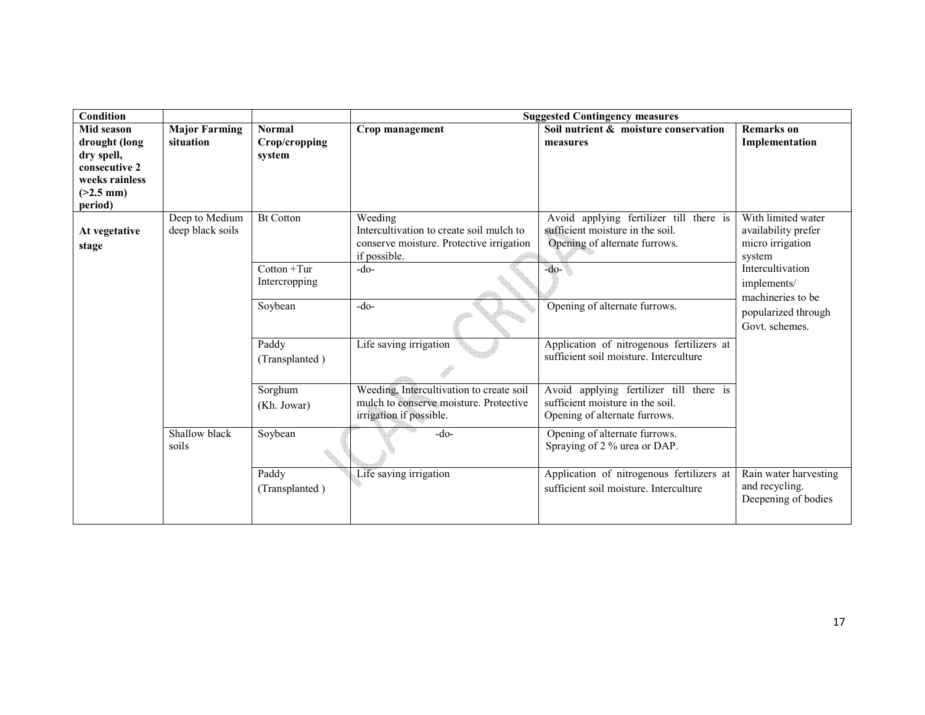| <b>Condition</b>                                                                                       |                                    |                                          | <b>Suggested Contingency measures</b>                                                                           |                                                                                                              |                                                                         |  |
|--------------------------------------------------------------------------------------------------------|------------------------------------|------------------------------------------|-----------------------------------------------------------------------------------------------------------------|--------------------------------------------------------------------------------------------------------------|-------------------------------------------------------------------------|--|
| Mid season<br>drought (long<br>dry spell,<br>consecutive 2<br>weeks rainless<br>$(>2.5$ mm)<br>period) | <b>Major Farming</b><br>situation  | <b>Normal</b><br>Crop/cropping<br>system | Crop management                                                                                                 | Soil nutrient & moisture conservation<br>measures                                                            | <b>Remarks</b> on<br>Implementation                                     |  |
| At vegetative<br>stage                                                                                 | Deep to Medium<br>deep black soils | <b>Bt Cotton</b>                         | Weeding<br>Intercultivation to create soil mulch to<br>conserve moisture. Protective irrigation<br>if possible. | Avoid applying fertilizer till there is<br>sufficient moisture in the soil.<br>Opening of alternate furrows. | With limited water<br>availability prefer<br>micro irrigation<br>system |  |
|                                                                                                        |                                    | $Cottom + Tur$<br>Intercropping          | $-do-$                                                                                                          | $-do-$                                                                                                       | Intercultivation<br>implements/                                         |  |
|                                                                                                        |                                    | Soybean                                  | $-do-$                                                                                                          | Opening of alternate furrows.                                                                                | machineries to be<br>popularized through<br>Govt. schemes.              |  |
|                                                                                                        |                                    | Paddy<br>(Transplanted)                  | Life saving irrigation                                                                                          | Application of nitrogenous fertilizers at<br>sufficient soil moisture. Interculture                          |                                                                         |  |
|                                                                                                        |                                    | Sorghum<br>(Kh. Jowar)                   | Weeding, Intercultivation to create soil<br>mulch to conserve moisture. Protective<br>irrigation if possible.   | Avoid applying fertilizer till there is<br>sufficient moisture in the soil.<br>Opening of alternate furrows. |                                                                         |  |
|                                                                                                        | Shallow black<br>soils             | Soybean                                  | $-do-$                                                                                                          | Opening of alternate furrows.<br>Spraying of 2 % urea or DAP.                                                |                                                                         |  |
|                                                                                                        |                                    | Paddy<br>(Transplanted)                  | Life saving irrigation                                                                                          | Application of nitrogenous fertilizers at<br>sufficient soil moisture. Interculture                          | Rain water harvesting<br>and recycling.<br>Deepening of bodies          |  |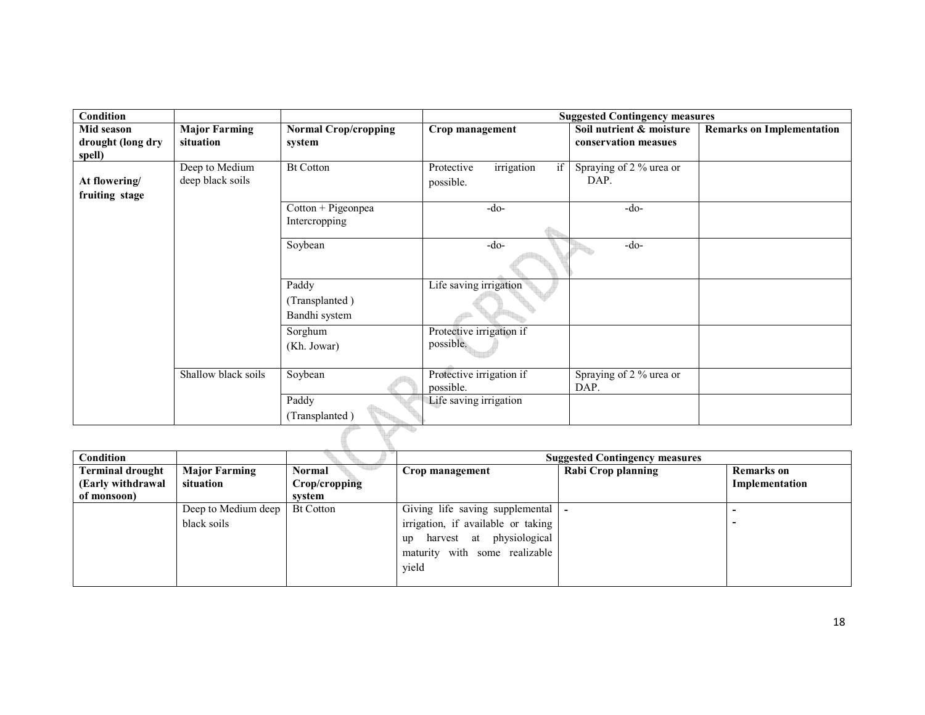| <b>Condition</b>                          |                                    |                                          | <b>Suggested Contingency measures</b>       |                                                  |                                  |  |
|-------------------------------------------|------------------------------------|------------------------------------------|---------------------------------------------|--------------------------------------------------|----------------------------------|--|
| Mid season<br>drought (long dry<br>spell) | <b>Major Farming</b><br>situation  | <b>Normal Crop/cropping</b><br>system    | Crop management                             | Soil nutrient & moisture<br>conservation measues | <b>Remarks on Implementation</b> |  |
| At flowering/<br>fruiting stage           | Deep to Medium<br>deep black soils | <b>Bt Cotton</b>                         | irrigation<br>Protective<br>if<br>possible. | Spraying of 2 % urea or<br>DAP.                  |                                  |  |
|                                           |                                    | Cotton + Pigeonpea<br>Intercropping      | -do-                                        | $-do-$                                           |                                  |  |
|                                           |                                    | Soybean                                  | -do-                                        | $-do-$                                           |                                  |  |
|                                           |                                    | Paddy<br>(Transplanted)<br>Bandhi system | Life saving irrigation                      |                                                  |                                  |  |
|                                           |                                    | Sorghum<br>(Kh. Jowar)                   | Protective irrigation if<br>possible.       |                                                  |                                  |  |
|                                           | Shallow black soils                | Soybean                                  | Protective irrigation if<br>possible.       | Spraying of 2 % urea or<br>DAP.                  |                                  |  |
|                                           |                                    | Paddy<br>(Transplanted)                  | Life saving irrigation                      |                                                  |                                  |  |
|                                           |                                    |                                          |                                             |                                                  |                                  |  |

| Condition               |                      |                  |                                     | <b>Suggested Contingency measures</b> |                   |
|-------------------------|----------------------|------------------|-------------------------------------|---------------------------------------|-------------------|
| <b>Terminal drought</b> | <b>Major Farming</b> | Normal           | Crop management                     | <b>Rabi Crop planning</b>             | <b>Remarks</b> on |
| (Early withdrawal       | situation            | Crop/cropping    |                                     |                                       | Implementation    |
| of monsoon)             |                      | system           |                                     |                                       |                   |
|                         | Deep to Medium deep  | <b>Bt Cotton</b> | Giving life saving supplemental   - |                                       |                   |
|                         | black soils          |                  | irrigation, if available or taking  |                                       |                   |
|                         |                      |                  | harvest at physiological<br>up      |                                       |                   |
|                         |                      |                  | maturity with some realizable       |                                       |                   |
|                         |                      |                  | yield                               |                                       |                   |
|                         |                      |                  |                                     |                                       |                   |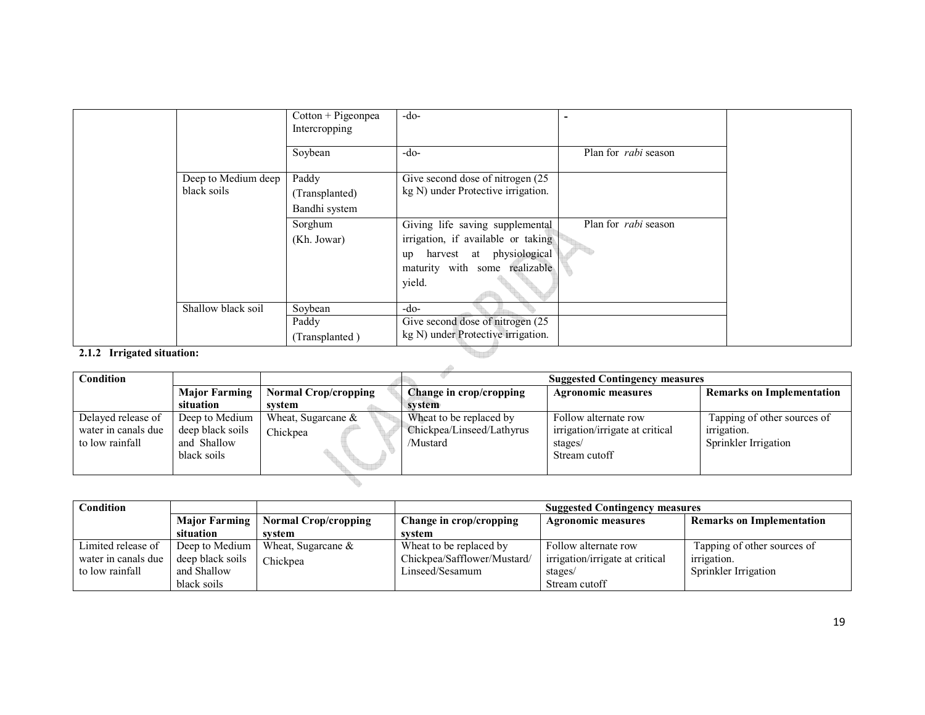|                            |                                    | Cotton + Pigeonpea<br>Intercropping      | $-do-$                                                                                                                                          |                             |  |
|----------------------------|------------------------------------|------------------------------------------|-------------------------------------------------------------------------------------------------------------------------------------------------|-----------------------------|--|
|                            |                                    | Soybean                                  | $-do-$                                                                                                                                          | Plan for <i>rabi</i> season |  |
|                            | Deep to Medium deep<br>black soils | Paddy<br>(Transplanted)<br>Bandhi system | Give second dose of nitrogen (25)<br>kg N) under Protective irrigation.                                                                         |                             |  |
|                            |                                    | Sorghum<br>(Kh. Jowar)                   | Giving life saving supplemental<br>irrigation, if available or taking<br>up harvest at physiological<br>maturity with some realizable<br>yield. | Plan for <i>rabi</i> season |  |
|                            | Shallow black soil                 | Soybean<br>Paddy<br>(Transplanted)       | $-do-$<br>Give second dose of nitrogen (25)<br>kg N) under Protective irrigation.                                                               |                             |  |
| 2.1.2 Irrigated situation: |                                    |                                          |                                                                                                                                                 |                             |  |

#### 2.1.2 Irrigated situation:

| <b>Condition</b>    |                      | <b>Suggested Contingency measures</b> |                           |                                 |                                  |  |
|---------------------|----------------------|---------------------------------------|---------------------------|---------------------------------|----------------------------------|--|
|                     | <b>Major Farming</b> | <b>Normal Crop/cropping</b>           | Change in crop/cropping   | <b>Agronomic measures</b>       | <b>Remarks on Implementation</b> |  |
|                     | situation            | svstem                                | system                    |                                 |                                  |  |
| Delayed release of  | Deep to Medium       | Wheat, Sugarcane $\&$                 | Wheat to be replaced by   | Follow alternate row            | Tapping of other sources of      |  |
| water in canals due | deep black soils     | Chickpea                              | Chickpea/Linseed/Lathyrus | irrigation/irrigate at critical | <i>irrigation.</i>               |  |
| to low rainfall     | and Shallow          |                                       | /Mustard                  | stages/                         | Sprinkler Irrigation             |  |
|                     | black soils          |                                       |                           | Stream cutoff                   |                                  |  |
|                     |                      |                                       |                           |                                 |                                  |  |
|                     |                      |                                       |                           |                                 |                                  |  |

 $\Delta \mathbf{b}$ 

| Condition           |                      |                             | <b>Suggested Contingency measures</b> |                                 |                                  |  |
|---------------------|----------------------|-----------------------------|---------------------------------------|---------------------------------|----------------------------------|--|
|                     | <b>Major Farming</b> | <b>Normal Crop/cropping</b> | Change in crop/cropping               | <b>Agronomic measures</b>       | <b>Remarks on Implementation</b> |  |
|                     | situation            | svstem                      | svstem                                |                                 |                                  |  |
| Limited release of  | Deep to Medium       | Wheat, Sugarcane $\&$       | Wheat to be replaced by               | Follow alternate row            | Tapping of other sources of      |  |
| water in canals due | deep black soils     | Chickpea                    | Chickpea/Safflower/Mustard/           | irrigation/irrigate at critical | <i>irrigation.</i>               |  |
| to low rainfall     | and Shallow          |                             | Linseed/Sesamum                       | stages/                         | Sprinkler Irrigation             |  |
|                     | black soils          |                             |                                       | Stream cutoff                   |                                  |  |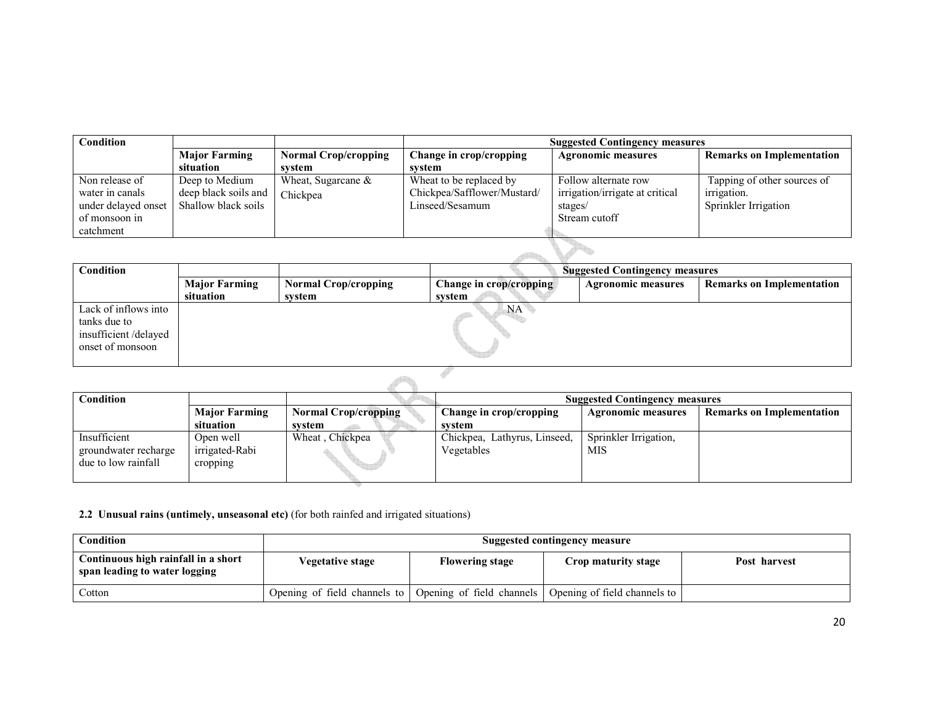| <b>Condition</b>    |                      |                             | <b>Suggested Contingency measures</b> |                                 |                                  |
|---------------------|----------------------|-----------------------------|---------------------------------------|---------------------------------|----------------------------------|
|                     | <b>Major Farming</b> | <b>Normal Crop/cropping</b> | Change in crop/cropping               | <b>Agronomic measures</b>       | <b>Remarks on Implementation</b> |
|                     | situation            | system                      | svstem                                |                                 |                                  |
| Non release of      | Deep to Medium       | Wheat, Sugarcane $\&$       | Wheat to be replaced by               | Follow alternate row            | Tapping of other sources of      |
| water in canals     | deep black soils and | Chickpea                    | Chickpea/Safflower/Mustard/           | irrigation/irrigate at critical | irrigation.                      |
| under delayed onset | Shallow black soils  |                             | Linseed/Sesamum                       | stages/                         | Sprinkler Irrigation             |
| of monsoon in       |                      |                             |                                       | Stream cutoff                   |                                  |
| catchment           |                      |                             |                                       |                                 |                                  |
|                     |                      |                             |                                       |                                 |                                  |
|                     |                      |                             |                                       |                                 |                                  |

| <b>Condition</b>                                                                 |                      |                             | <b>Suggested Contingency measures</b> |                           |                                  |
|----------------------------------------------------------------------------------|----------------------|-----------------------------|---------------------------------------|---------------------------|----------------------------------|
|                                                                                  | <b>Major Farming</b> | <b>Normal Crop/cropping</b> | Change in crop/cropping               | <b>Agronomic measures</b> | <b>Remarks on Implementation</b> |
|                                                                                  | situation            | system                      | system                                |                           |                                  |
| Lack of inflows into<br>tanks due to<br>insufficient/delayed<br>onset of monsoon |                      |                             | NA <sup>-</sup>                       |                           |                                  |
|                                                                                  |                      |                             |                                       |                           |                                  |

| Condition            |                      | <b>Suggested Contingency measures</b> |                              |                           |                                  |
|----------------------|----------------------|---------------------------------------|------------------------------|---------------------------|----------------------------------|
|                      | <b>Major Farming</b> | <b>Normal Crop/cropping</b>           | Change in crop/cropping      | <b>Agronomic measures</b> | <b>Remarks on Implementation</b> |
|                      | situation            | svstem                                | svstem                       |                           |                                  |
| Insufficient         | Open well            | Wheat, Chickpea                       | Chickpea, Lathyrus, Linseed, | Sprinkler Irrigation,     |                                  |
| groundwater recharge | irrigated-Rabi       |                                       | Vegetables                   | MIS                       |                                  |
| due to low rainfall  | cropping             |                                       |                              |                           |                                  |
|                      |                      |                                       |                              |                           |                                  |

2.2 Unusual rains (untimely, unseasonal etc) (for both rainfed and irrigated situations)

| <b>Condition</b>                                                     | Suggested contingency measure                            |                        |                              |              |
|----------------------------------------------------------------------|----------------------------------------------------------|------------------------|------------------------------|--------------|
| Continuous high rainfall in a short<br>span leading to water logging | <b>Vegetative stage</b>                                  | <b>Flowering stage</b> | Crop maturity stage          | Post harvest |
| Cotton                                                               | Opening of field channels to   Opening of field channels |                        | Opening of field channels to |              |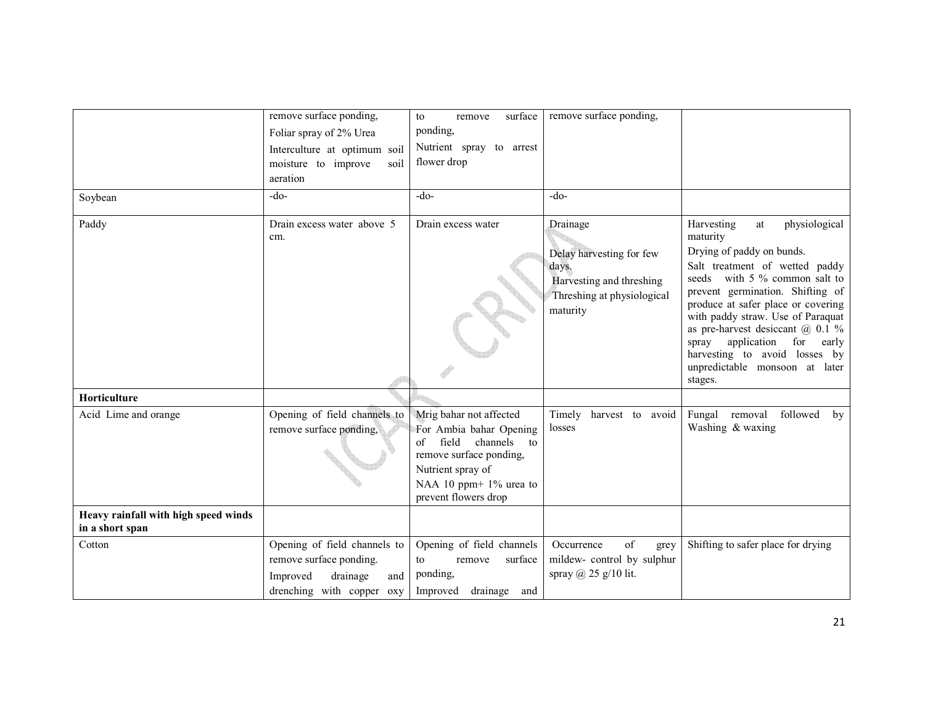|                                                         | remove surface ponding,                                                                                             | surface<br>to<br>remove                                                                                                                                                         | remove surface ponding,                                                                                             |                                                                                                                                                                                                                                                                                                                                                                                                                                          |
|---------------------------------------------------------|---------------------------------------------------------------------------------------------------------------------|---------------------------------------------------------------------------------------------------------------------------------------------------------------------------------|---------------------------------------------------------------------------------------------------------------------|------------------------------------------------------------------------------------------------------------------------------------------------------------------------------------------------------------------------------------------------------------------------------------------------------------------------------------------------------------------------------------------------------------------------------------------|
|                                                         | Foliar spray of 2% Urea                                                                                             | ponding,                                                                                                                                                                        |                                                                                                                     |                                                                                                                                                                                                                                                                                                                                                                                                                                          |
|                                                         | Interculture at optimum soil<br>moisture to improve<br>soil<br>aeration                                             | Nutrient spray to arrest<br>flower drop                                                                                                                                         |                                                                                                                     |                                                                                                                                                                                                                                                                                                                                                                                                                                          |
| Soybean                                                 | $-do-$                                                                                                              | $-do-$                                                                                                                                                                          | $-do-$                                                                                                              |                                                                                                                                                                                                                                                                                                                                                                                                                                          |
| Paddy                                                   | Drain excess water above 5<br>cm.                                                                                   | Drain excess water                                                                                                                                                              | Drainage<br>Delay harvesting for few<br>days.<br>Harvesting and threshing<br>Threshing at physiological<br>maturity | physiological<br>Harvesting<br>$\operatorname{at}$<br>maturity<br>Drying of paddy on bunds.<br>Salt treatment of wetted paddy<br>seeds with 5 % common salt to<br>prevent germination. Shifting of<br>produce at safer place or covering<br>with paddy straw. Use of Paraquat<br>as pre-harvest desiceant $\omega$ 0.1 %<br>spray application for<br>early<br>harvesting to avoid losses by<br>unpredictable monsoon at later<br>stages. |
| Horticulture                                            |                                                                                                                     |                                                                                                                                                                                 |                                                                                                                     |                                                                                                                                                                                                                                                                                                                                                                                                                                          |
| Acid Lime and orange                                    | Opening of field channels to<br>remove surface ponding,                                                             | Mrig bahar not affected<br>For Ambia bahar Opening<br>field channels to<br>of<br>remove surface ponding,<br>Nutrient spray of<br>NAA 10 ppm+ 1% urea to<br>prevent flowers drop | Timely harvest to avoid<br>losses                                                                                   | followed<br>Fungal removal<br>by<br>Washing & waxing                                                                                                                                                                                                                                                                                                                                                                                     |
| Heavy rainfall with high speed winds<br>in a short span |                                                                                                                     |                                                                                                                                                                                 |                                                                                                                     |                                                                                                                                                                                                                                                                                                                                                                                                                                          |
| Cotton                                                  | Opening of field channels to<br>remove surface ponding.<br>drainage<br>Improved<br>and<br>drenching with copper oxy | Opening of field channels<br>to<br>surface<br>remove<br>ponding,<br>Improved drainage and                                                                                       | of<br>Occurrence<br>grey<br>mildew-control by sulphur<br>spray $(a)$ 25 g/10 lit.                                   | Shifting to safer place for drying                                                                                                                                                                                                                                                                                                                                                                                                       |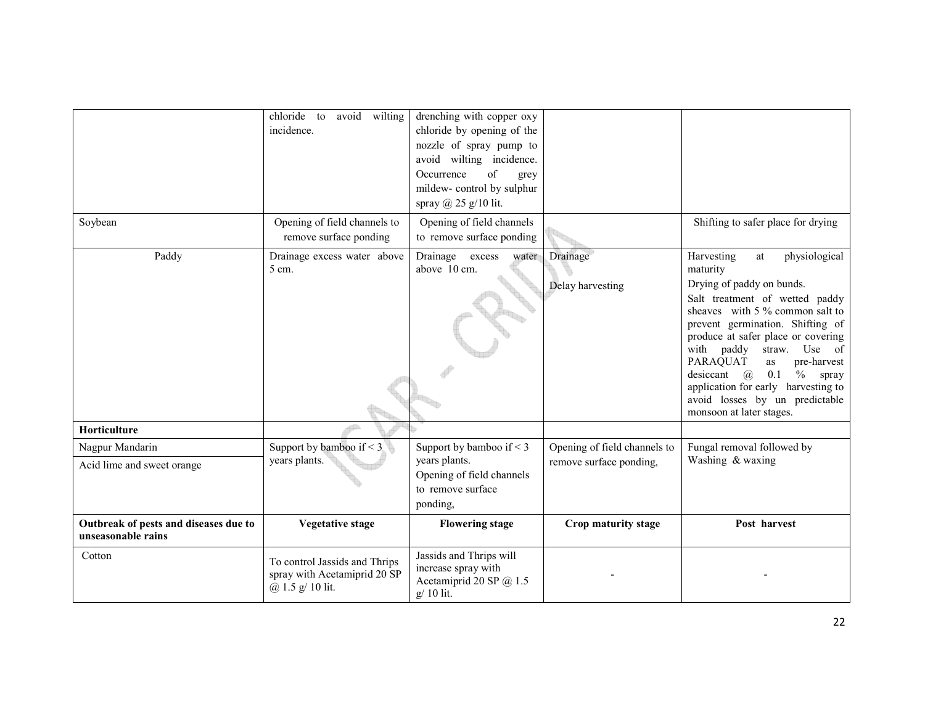|                                                             | avoid wilting<br>chloride to<br>incidence.                                        | drenching with copper oxy<br>chloride by opening of the<br>nozzle of spray pump to<br>avoid wilting incidence.<br>of<br>Occurrence<br>grey<br>mildew-control by sulphur<br>spray $(a)$ 25 g/10 lit. |                                                         |                                                                                                                                                                                                                                                                                                                                                                                                                                              |
|-------------------------------------------------------------|-----------------------------------------------------------------------------------|-----------------------------------------------------------------------------------------------------------------------------------------------------------------------------------------------------|---------------------------------------------------------|----------------------------------------------------------------------------------------------------------------------------------------------------------------------------------------------------------------------------------------------------------------------------------------------------------------------------------------------------------------------------------------------------------------------------------------------|
| Soybean                                                     | Opening of field channels to<br>remove surface ponding                            | Opening of field channels<br>to remove surface ponding                                                                                                                                              |                                                         | Shifting to safer place for drying                                                                                                                                                                                                                                                                                                                                                                                                           |
| Paddy                                                       | Drainage excess water above<br>5 cm.                                              | Drainage<br>excess<br>water<br>above 10 cm.                                                                                                                                                         | Drainage<br>Delay harvesting                            | physiological<br>Harvesting<br>at<br>maturity<br>Drying of paddy on bunds.<br>Salt treatment of wetted paddy<br>sheaves with 5 % common salt to<br>prevent germination. Shifting of<br>produce at safer place or covering<br>with paddy<br>Use of<br>straw.<br>PARAQUAT<br>pre-harvest<br>as<br>$\%$<br>desiccant $(a)$<br>0.1<br>spray<br>application for early harvesting to<br>avoid losses by un predictable<br>monsoon at later stages. |
| Horticulture                                                |                                                                                   |                                                                                                                                                                                                     |                                                         |                                                                                                                                                                                                                                                                                                                                                                                                                                              |
| Nagpur Mandarin<br>Acid lime and sweet orange               | Support by bamboo if $\leq$ 3<br>years plants.                                    | Support by bamboo if $\leq$ 3<br>years plants.<br>Opening of field channels<br>to remove surface<br>ponding,                                                                                        | Opening of field channels to<br>remove surface ponding, | Fungal removal followed by<br>Washing & waxing                                                                                                                                                                                                                                                                                                                                                                                               |
| Outbreak of pests and diseases due to<br>unseasonable rains | <b>Vegetative stage</b>                                                           | <b>Flowering stage</b>                                                                                                                                                                              | Crop maturity stage                                     | Post harvest                                                                                                                                                                                                                                                                                                                                                                                                                                 |
| Cotton                                                      | To control Jassids and Thrips<br>spray with Acetamiprid 20 SP<br>@ 1.5 g/ 10 lit. | Jassids and Thrips will<br>increase spray with<br>Acetamiprid 20 SP @ 1.5<br>g/ 10 lit.                                                                                                             |                                                         |                                                                                                                                                                                                                                                                                                                                                                                                                                              |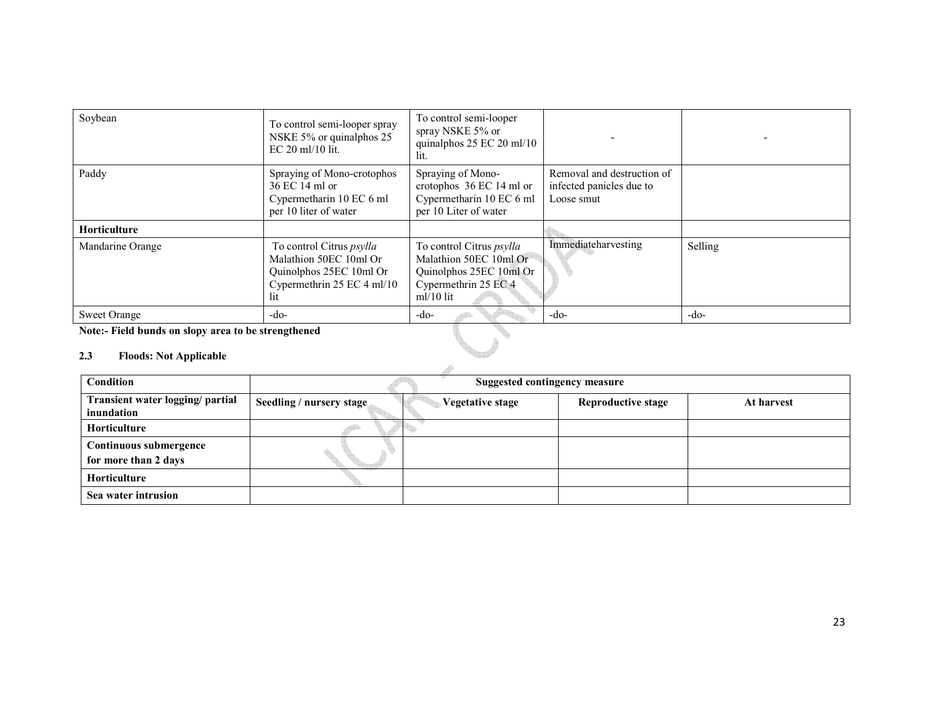| Soybean                                                                                     | To control semi-looper spray<br>NSKE 5% or quinalphos 25<br>$EC 20$ ml/10 lit.                                            | To control semi-looper<br>spray NSKE 5% or<br>quinalphos $25$ EC $20$ ml/10<br>lit.                                         |                                                                      |         |
|---------------------------------------------------------------------------------------------|---------------------------------------------------------------------------------------------------------------------------|-----------------------------------------------------------------------------------------------------------------------------|----------------------------------------------------------------------|---------|
| Paddy                                                                                       | Spraying of Mono-crotophos<br>36 EC 14 ml or<br>Cypermetharin 10 EC 6 ml<br>per 10 liter of water                         | Spraying of Mono-<br>crotophos 36 EC 14 ml or<br>Cypermetharin 10 EC 6 ml<br>per 10 Liter of water                          | Removal and destruction of<br>infected panicles due to<br>Loose smut |         |
| Horticulture                                                                                |                                                                                                                           |                                                                                                                             |                                                                      |         |
| Mandarine Orange                                                                            | To control Citrus <i>psylla</i><br>Malathion 50EC 10ml Or<br>Quinolphos 25EC 10ml Or<br>Cypermethrin 25 EC 4 ml/10<br>lit | To control Citrus <i>psylla</i><br>Malathion 50EC 10ml Or<br>Quinolphos 25EC 10ml Or<br>Cypermethrin 25 EC 4<br>$ml/10$ lit | Immediateharvesting                                                  | Selling |
| <b>Sweet Orange</b>                                                                         | -do-                                                                                                                      | $-do-$                                                                                                                      | -do-                                                                 | $-do-$  |
| Note:- Field bunds on slopy area to be strengthened<br>2.3<br><b>Floods: Not Applicable</b> |                                                                                                                           |                                                                                                                             |                                                                      |         |

### 2.3 Floods: Not Applicable

| <b>Condition</b>                               | <b>Suggested contingency measure</b> |                         |                           |            |
|------------------------------------------------|--------------------------------------|-------------------------|---------------------------|------------|
| Transient water logging/ partial<br>inundation | Seedling / nursery stage             | <b>Vegetative stage</b> | <b>Reproductive stage</b> | At harvest |
| Horticulture                                   |                                      |                         |                           |            |
| Continuous submergence<br>for more than 2 days |                                      |                         |                           |            |
| Horticulture                                   |                                      |                         |                           |            |
| Sea water intrusion                            |                                      |                         |                           |            |

 $\Delta \hat{D}$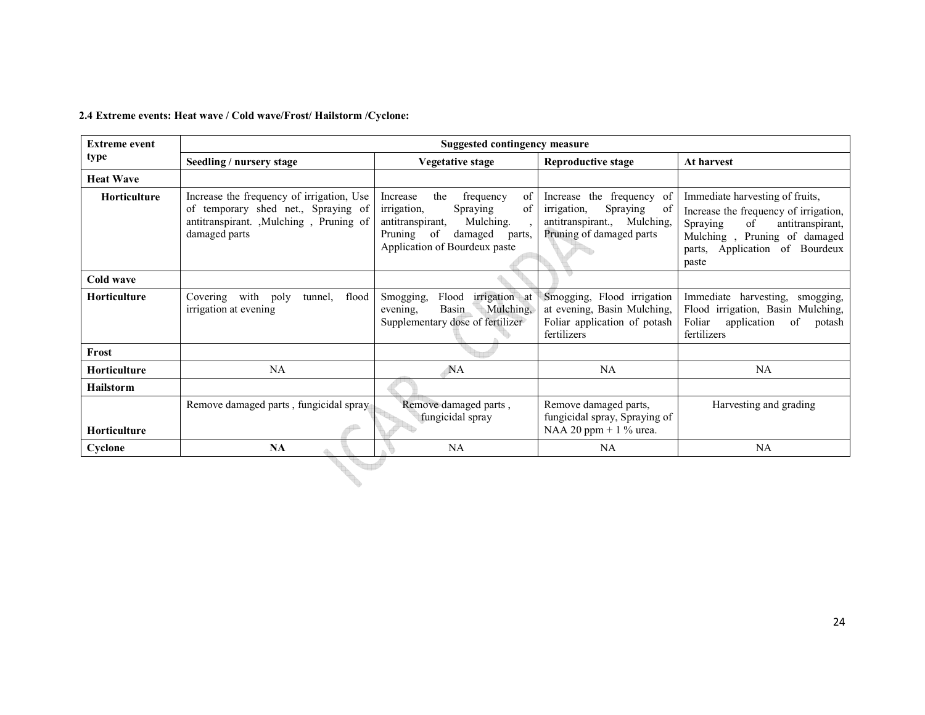### 2.4 Extreme events: Heat wave / Cold wave/Frost/ Hailstorm /Cyclone:

| <b>Extreme event</b> | Suggested contingency measure                                                                                                                |                                                                                                                                                                          |                                                                                                                        |                                                                                                                                                                                           |  |
|----------------------|----------------------------------------------------------------------------------------------------------------------------------------------|--------------------------------------------------------------------------------------------------------------------------------------------------------------------------|------------------------------------------------------------------------------------------------------------------------|-------------------------------------------------------------------------------------------------------------------------------------------------------------------------------------------|--|
| type                 | Seedling / nursery stage                                                                                                                     | <b>Vegetative stage</b>                                                                                                                                                  | <b>Reproductive stage</b>                                                                                              | At harvest                                                                                                                                                                                |  |
| <b>Heat Wave</b>     |                                                                                                                                              |                                                                                                                                                                          |                                                                                                                        |                                                                                                                                                                                           |  |
| <b>Horticulture</b>  | Increase the frequency of irrigation, Use<br>of temporary shed net., Spraying of<br>antitranspirant. , Mulching, Pruning of<br>damaged parts | the<br>of<br>frequency<br>Increase<br>irrigation,<br>Spraying<br>of<br>antitranspirant,<br>Mulching.<br>Pruning of<br>damaged<br>parts,<br>Application of Bourdeux paste | Increase the frequency of<br>Spraying<br>irrigation,<br>-of<br>antitranspirant., Mulching,<br>Pruning of damaged parts | Immediate harvesting of fruits,<br>Increase the frequency of irrigation,<br>Spraying<br>antitranspirant,<br>of<br>Mulching, Pruning of damaged<br>parts, Application of Bourdeux<br>paste |  |
| Cold wave            |                                                                                                                                              |                                                                                                                                                                          |                                                                                                                        |                                                                                                                                                                                           |  |
| <b>Horticulture</b>  | Covering with<br>flood<br>poly<br>tunnel,<br>irrigation at evening                                                                           | irrigation at<br>Flood<br>Smogging,<br>Mulching,<br>Basin<br>evening.<br>Supplementary dose of fertilizer                                                                | Smogging, Flood irrigation<br>at evening, Basin Mulching,<br>Foliar application of potash<br>fertilizers               | Immediate harvesting,<br>smogging,<br>Flood irrigation, Basin Mulching,<br>Foliar<br>application<br>of<br>potash<br>fertilizers                                                           |  |
| Frost                |                                                                                                                                              |                                                                                                                                                                          |                                                                                                                        |                                                                                                                                                                                           |  |
| <b>Horticulture</b>  | NA                                                                                                                                           | <b>NA</b>                                                                                                                                                                | NA                                                                                                                     | NA                                                                                                                                                                                        |  |
| <b>Hailstorm</b>     |                                                                                                                                              |                                                                                                                                                                          |                                                                                                                        |                                                                                                                                                                                           |  |
| <b>Horticulture</b>  | Remove damaged parts, fungicidal spray                                                                                                       | Remove damaged parts,<br>fungicidal spray                                                                                                                                | Remove damaged parts,<br>fungicidal spray, Spraying of<br>NAA 20 ppm + $1\%$ urea.                                     | Harvesting and grading                                                                                                                                                                    |  |
| Cyclone              | <b>NA</b>                                                                                                                                    | <b>NA</b>                                                                                                                                                                | NA                                                                                                                     | <b>NA</b>                                                                                                                                                                                 |  |
|                      |                                                                                                                                              |                                                                                                                                                                          |                                                                                                                        |                                                                                                                                                                                           |  |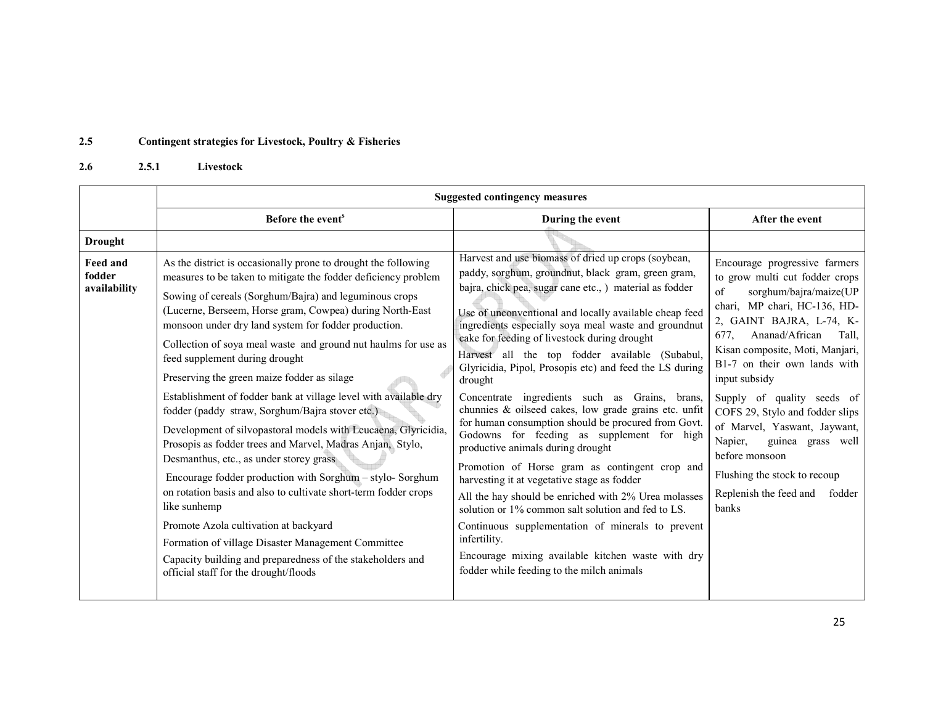#### 2.5Contingent strategies for Livestock, Poultry & Fisheries

#### 2.62.5.1 Livestock

|                                    | <b>Suggested contingency measures</b>                                                                                                                                                                                                                                                                                                                                                                                                                                                                                                                                                                                                                                                                                                                                                                                                                                                                                                                                                                                                                                                                                    |                                                                                                                                                                                                                                                                                                                                                                                                                                                                                                                                                                                                                                                                                                                                                                                                                                                                                                                                                                                                                                                                                                           |                                                                                                                                                                                                                                                                                                                                                                                                                                                                                                                 |  |  |
|------------------------------------|--------------------------------------------------------------------------------------------------------------------------------------------------------------------------------------------------------------------------------------------------------------------------------------------------------------------------------------------------------------------------------------------------------------------------------------------------------------------------------------------------------------------------------------------------------------------------------------------------------------------------------------------------------------------------------------------------------------------------------------------------------------------------------------------------------------------------------------------------------------------------------------------------------------------------------------------------------------------------------------------------------------------------------------------------------------------------------------------------------------------------|-----------------------------------------------------------------------------------------------------------------------------------------------------------------------------------------------------------------------------------------------------------------------------------------------------------------------------------------------------------------------------------------------------------------------------------------------------------------------------------------------------------------------------------------------------------------------------------------------------------------------------------------------------------------------------------------------------------------------------------------------------------------------------------------------------------------------------------------------------------------------------------------------------------------------------------------------------------------------------------------------------------------------------------------------------------------------------------------------------------|-----------------------------------------------------------------------------------------------------------------------------------------------------------------------------------------------------------------------------------------------------------------------------------------------------------------------------------------------------------------------------------------------------------------------------------------------------------------------------------------------------------------|--|--|
|                                    | Before the event <sup>s</sup>                                                                                                                                                                                                                                                                                                                                                                                                                                                                                                                                                                                                                                                                                                                                                                                                                                                                                                                                                                                                                                                                                            | During the event                                                                                                                                                                                                                                                                                                                                                                                                                                                                                                                                                                                                                                                                                                                                                                                                                                                                                                                                                                                                                                                                                          | After the event                                                                                                                                                                                                                                                                                                                                                                                                                                                                                                 |  |  |
| <b>Drought</b>                     |                                                                                                                                                                                                                                                                                                                                                                                                                                                                                                                                                                                                                                                                                                                                                                                                                                                                                                                                                                                                                                                                                                                          |                                                                                                                                                                                                                                                                                                                                                                                                                                                                                                                                                                                                                                                                                                                                                                                                                                                                                                                                                                                                                                                                                                           |                                                                                                                                                                                                                                                                                                                                                                                                                                                                                                                 |  |  |
| Feed and<br>fodder<br>availability | As the district is occasionally prone to drought the following<br>measures to be taken to mitigate the fodder deficiency problem<br>Sowing of cereals (Sorghum/Bajra) and leguminous crops<br>(Lucerne, Berseem, Horse gram, Cowpea) during North-East<br>monsoon under dry land system for fodder production.<br>Collection of soya meal waste and ground nut haulms for use as<br>feed supplement during drought<br>Preserving the green maize fodder as silage<br>Establishment of fodder bank at village level with available dry<br>fodder (paddy straw, Sorghum/Bajra stover etc.)<br>Development of silvopastoral models with Leucaena, Glyricidia,<br>Prosopis as fodder trees and Marvel, Madras Anjan, Stylo,<br>Desmanthus, etc., as under storey grass<br>Encourage fodder production with Sorghum - stylo- Sorghum<br>on rotation basis and also to cultivate short-term fodder crops<br>like sunhemp<br>Promote Azola cultivation at backyard<br>Formation of village Disaster Management Committee<br>Capacity building and preparedness of the stakeholders and<br>official staff for the drought/floods | Harvest and use biomass of dried up crops (soybean,<br>paddy, sorghum, groundnut, black gram, green gram,<br>bajra, chick pea, sugar cane etc., ) material as fodder<br>Use of unconventional and locally available cheap feed<br>ingredients especially soya meal waste and groundnut<br>cake for feeding of livestock during drought<br>Harvest all the top fodder available (Subabul,<br>Glyricidia, Pipol, Prosopis etc) and feed the LS during<br>drought<br>Concentrate ingredients such as Grains, brans,<br>chunnies & oilseed cakes, low grade grains etc. unfit<br>for human consumption should be procured from Govt.<br>Godowns for feeding as supplement for high<br>productive animals during drought<br>Promotion of Horse gram as contingent crop and<br>harvesting it at vegetative stage as fodder<br>All the hay should be enriched with 2% Urea molasses<br>solution or 1% common salt solution and fed to LS.<br>Continuous supplementation of minerals to prevent<br>infertility.<br>Encourage mixing available kitchen waste with dry<br>fodder while feeding to the milch animals | Encourage progressive farmers<br>to grow multi cut fodder crops<br>sorghum/bajra/maize(UP<br>of<br>chari, MP chari, HC-136, HD-<br>2, GAINT BAJRA, L-74, K-<br>Ananad/African<br>Tall.<br>677.<br>Kisan composite, Moti, Manjari,<br>B1-7 on their own lands with<br>input subsidy<br>Supply of quality seeds of<br>COFS 29, Stylo and fodder slips<br>of Marvel, Yaswant, Jaywant,<br>Napier,<br>guinea grass well<br>before monsoon<br>Flushing the stock to recoup<br>Replenish the feed and fodder<br>banks |  |  |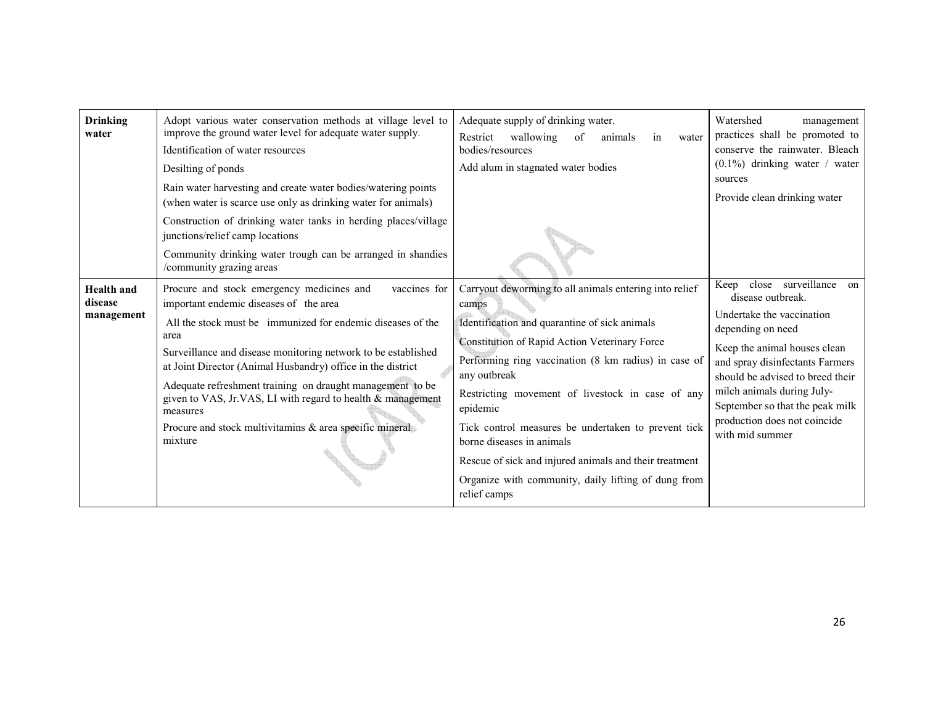| <b>Drinking</b><br>water                   | Adopt various water conservation methods at village level to<br>improve the ground water level for adequate water supply.<br>Identification of water resources<br>Desilting of ponds<br>Rain water harvesting and create water bodies/watering points<br>(when water is scarce use only as drinking water for animals)                                                                                                                                                                                                   | Adequate supply of drinking water.<br>wallowing<br>Restrict<br>of<br>animals<br>water<br>in<br>bodies/resources<br>Add alum in stagnated water bodies                                                                                                                                                                                                                                                                                                                                                                          | Watershed<br>management<br>practices shall be promoted to<br>conserve the rainwater. Bleach<br>$(0.1\%)$ drinking water / water<br>sources<br>Provide clean drinking water                                                                                                                                                   |
|--------------------------------------------|--------------------------------------------------------------------------------------------------------------------------------------------------------------------------------------------------------------------------------------------------------------------------------------------------------------------------------------------------------------------------------------------------------------------------------------------------------------------------------------------------------------------------|--------------------------------------------------------------------------------------------------------------------------------------------------------------------------------------------------------------------------------------------------------------------------------------------------------------------------------------------------------------------------------------------------------------------------------------------------------------------------------------------------------------------------------|------------------------------------------------------------------------------------------------------------------------------------------------------------------------------------------------------------------------------------------------------------------------------------------------------------------------------|
|                                            | Construction of drinking water tanks in herding places/village<br>junctions/relief camp locations<br>Community drinking water trough can be arranged in shandies<br>/community grazing areas                                                                                                                                                                                                                                                                                                                             |                                                                                                                                                                                                                                                                                                                                                                                                                                                                                                                                |                                                                                                                                                                                                                                                                                                                              |
| <b>Health</b> and<br>disease<br>management | Procure and stock emergency medicines and<br>vaccines for<br>important endemic diseases of the area<br>All the stock must be immunized for endemic diseases of the<br>area<br>Surveillance and disease monitoring network to be established<br>at Joint Director (Animal Husbandry) office in the district<br>Adequate refreshment training on draught management to be<br>given to VAS, Jr.VAS, LI with regard to health & management<br>measures<br>Procure and stock multivitamins & area specific mineral<br>mixture | Carryout deworming to all animals entering into relief<br>camps<br>Identification and quarantine of sick animals<br>Constitution of Rapid Action Veterinary Force<br>Performing ring vaccination (8 km radius) in case of<br>any outbreak<br>Restricting movement of livestock in case of any<br>epidemic<br>Tick control measures be undertaken to prevent tick<br>borne diseases in animals<br>Rescue of sick and injured animals and their treatment<br>Organize with community, daily lifting of dung from<br>relief camps | Keep close surveillance on<br>disease outbreak.<br>Undertake the vaccination<br>depending on need<br>Keep the animal houses clean<br>and spray disinfectants Farmers<br>should be advised to breed their<br>milch animals during July-<br>September so that the peak milk<br>production does not coincide<br>with mid summer |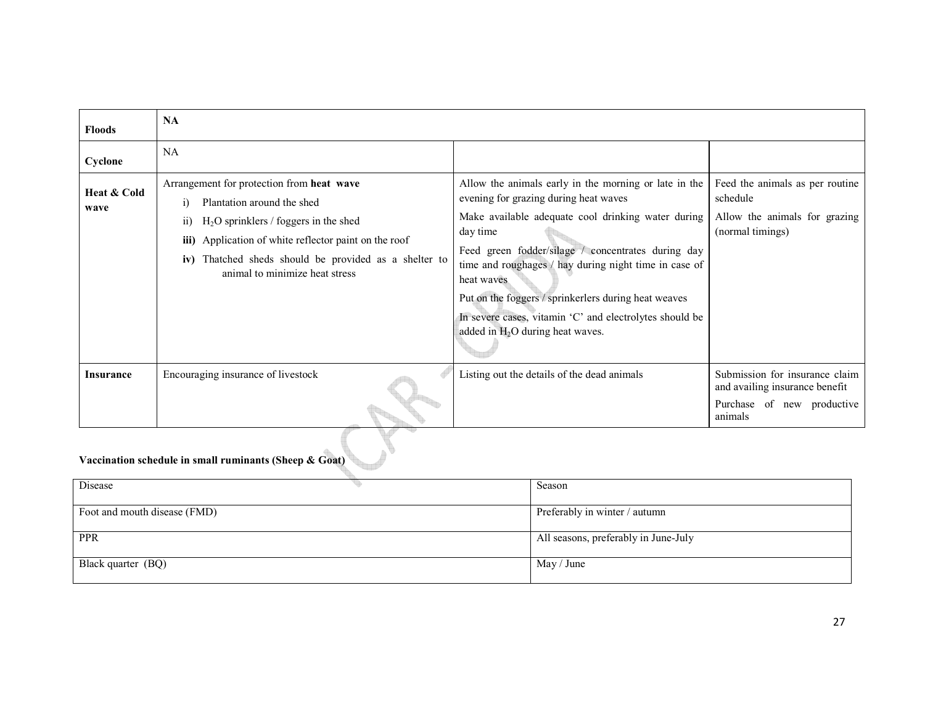| <b>Floods</b>       | <b>NA</b>                                                                                                                                                                                                                                                                                              |                                                                                                                                                                                                                                                                                                                                                                                                                                                        |                                                                                                           |  |  |
|---------------------|--------------------------------------------------------------------------------------------------------------------------------------------------------------------------------------------------------------------------------------------------------------------------------------------------------|--------------------------------------------------------------------------------------------------------------------------------------------------------------------------------------------------------------------------------------------------------------------------------------------------------------------------------------------------------------------------------------------------------------------------------------------------------|-----------------------------------------------------------------------------------------------------------|--|--|
| Cyclone             | NA                                                                                                                                                                                                                                                                                                     |                                                                                                                                                                                                                                                                                                                                                                                                                                                        |                                                                                                           |  |  |
| Heat & Cold<br>wave | Arrangement for protection from heat wave<br>Plantation around the shed<br>$\ddot{1}$<br>$H2O$ sprinklers / foggers in the shed<br>$\overline{11}$<br>iii) Application of white reflector paint on the roof<br>iv) Thatched sheds should be provided as a shelter to<br>animal to minimize heat stress | Allow the animals early in the morning or late in the<br>evening for grazing during heat waves<br>Make available adequate cool drinking water during<br>day time<br>Feed green fodder/silage / concentrates during day<br>time and roughages / hay during night time in case of<br>heat waves<br>Put on the foggers / sprinkerlers during heat weaves<br>In severe cases, vitamin 'C' and electrolytes should be<br>added in $H_2O$ during heat waves. | Feed the animals as per routine<br>schedule<br>Allow the animals for grazing<br>(normal timings)          |  |  |
| <b>Insurance</b>    | Encouraging insurance of livestock                                                                                                                                                                                                                                                                     | Listing out the details of the dead animals                                                                                                                                                                                                                                                                                                                                                                                                            | Submission for insurance claim<br>and availing insurance benefit<br>Purchase of new productive<br>animals |  |  |
|                     | Vaccination schedule in small ruminants (Sheep & Goat)                                                                                                                                                                                                                                                 |                                                                                                                                                                                                                                                                                                                                                                                                                                                        |                                                                                                           |  |  |
| Disease             |                                                                                                                                                                                                                                                                                                        | Season                                                                                                                                                                                                                                                                                                                                                                                                                                                 |                                                                                                           |  |  |

| Disease                      | Season                               |
|------------------------------|--------------------------------------|
| Foot and mouth disease (FMD) | Preferably in winter / autumn        |
| PPR                          | All seasons, preferably in June-July |
| Black quarter (BQ)           | May / June                           |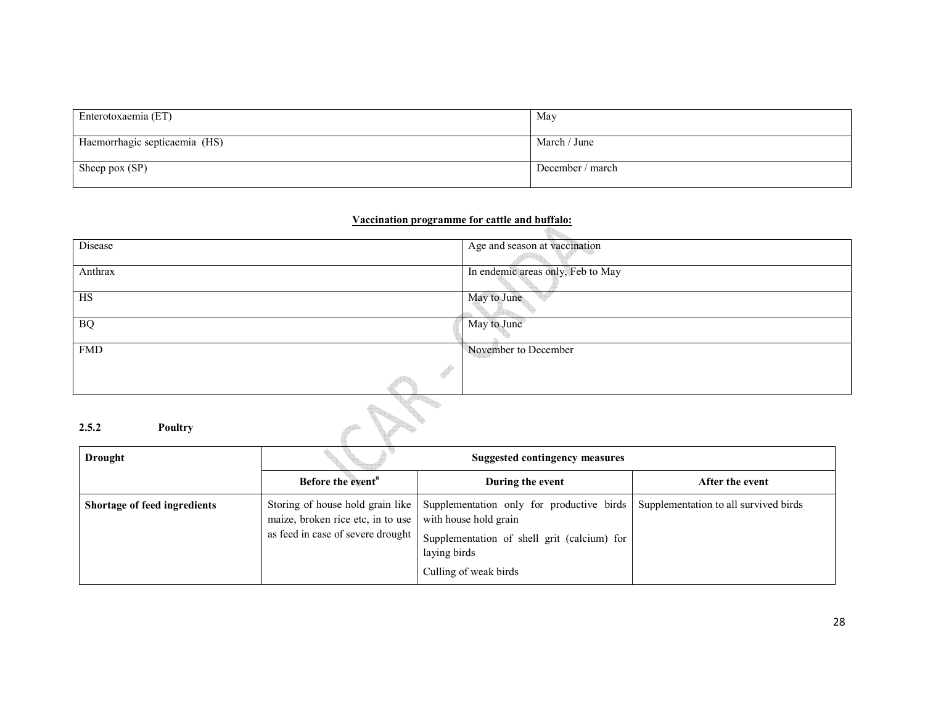| Enterotoxaemia (ET)           | May              |
|-------------------------------|------------------|
| Haemorrhagic septicaemia (HS) | March / June     |
| Sheep pox (SP)                | December / march |

### Vaccination programme for cattle and buffalo:

| Disease          | Age and season at vaccination     |
|------------------|-----------------------------------|
|                  |                                   |
|                  |                                   |
| Anthrax          | In endemic areas only, Feb to May |
|                  |                                   |
|                  |                                   |
| HS               | May to June                       |
|                  |                                   |
|                  |                                   |
| $\rm{BQ}$        | May to June                       |
|                  |                                   |
|                  |                                   |
| <b>FMD</b>       | November to December              |
|                  |                                   |
|                  | Î                                 |
|                  |                                   |
|                  |                                   |
|                  |                                   |
|                  |                                   |
|                  |                                   |
| 2.5.2<br>Poultry |                                   |
|                  |                                   |

# 2.5.2 Poultry

| <b>Drought</b>               |                                                                        | <b>Suggested contingency measures</b>                                                                                                                                                         |                                       |
|------------------------------|------------------------------------------------------------------------|-----------------------------------------------------------------------------------------------------------------------------------------------------------------------------------------------|---------------------------------------|
|                              | Before the event <sup>a</sup>                                          | During the event                                                                                                                                                                              | After the event                       |
| Shortage of feed ingredients | maize, broken rice etc, in to use<br>as feed in case of severe drought | Storing of house hold grain like   Supplementation only for productive birds<br>with house hold grain<br>Supplementation of shell grit (calcium) for<br>laying birds<br>Culling of weak birds | Supplementation to all survived birds |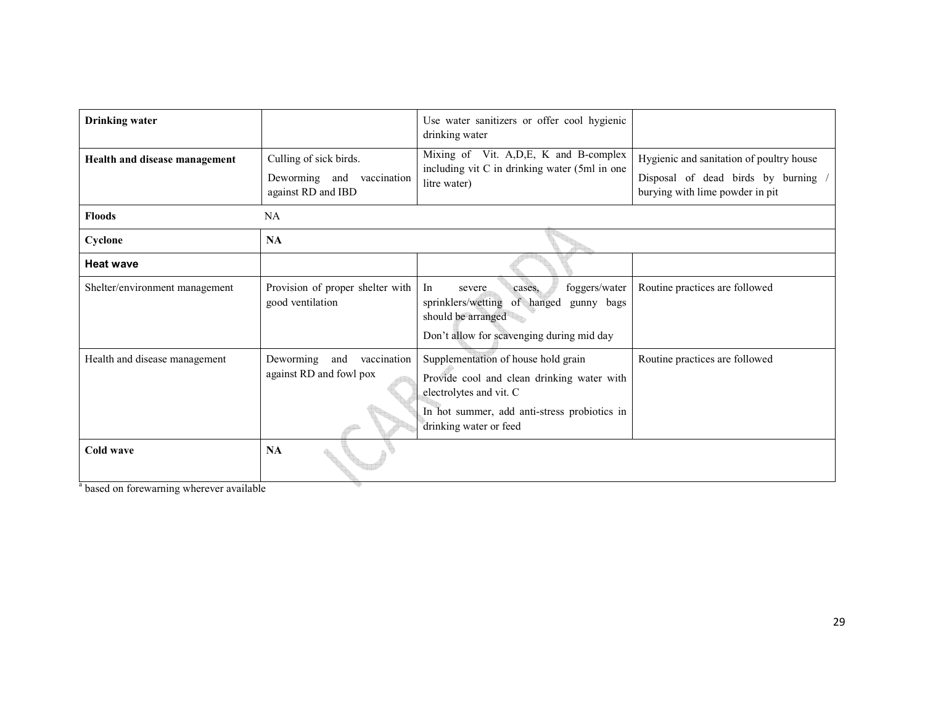| <b>Drinking</b> water                                             |                                                            | Use water sanitizers or offer cool hygienic<br>drinking water                                                                                                                          |                                                                      |
|-------------------------------------------------------------------|------------------------------------------------------------|----------------------------------------------------------------------------------------------------------------------------------------------------------------------------------------|----------------------------------------------------------------------|
| Health and disease management                                     | Culling of sick birds.                                     | Mixing of Vit. A, D, E, K and B-complex                                                                                                                                                | Hygienic and sanitation of poultry house                             |
|                                                                   | Deworming and vaccination<br>against RD and IBD            | including vit C in drinking water (5ml in one<br>litre water)                                                                                                                          | Disposal of dead birds by burning<br>burying with lime powder in pit |
| <b>Floods</b>                                                     | <b>NA</b>                                                  |                                                                                                                                                                                        |                                                                      |
| Cyclone                                                           | <b>NA</b>                                                  |                                                                                                                                                                                        |                                                                      |
| <b>Heat wave</b>                                                  |                                                            |                                                                                                                                                                                        |                                                                      |
| Shelter/environment management                                    | Provision of proper shelter with<br>good ventilation       | foggers/water<br>In<br>severe<br>cases.<br>sprinklers/wetting<br>of hanged<br>gunny bags<br>should be arranged                                                                         | Routine practices are followed                                       |
|                                                                   |                                                            | Don't allow for scavenging during mid day                                                                                                                                              |                                                                      |
| Health and disease management                                     | Deworming<br>vaccination<br>and<br>against RD and fowl pox | Supplementation of house hold grain<br>Provide cool and clean drinking water with<br>electrolytes and vit. C<br>In hot summer, add anti-stress probiotics in<br>drinking water or feed | Routine practices are followed                                       |
| Cold wave<br><sup>a</sup> hasad on forawarning wharawar available | <b>NA</b>                                                  |                                                                                                                                                                                        |                                                                      |

<sup>a</sup> based on forewarning wherever available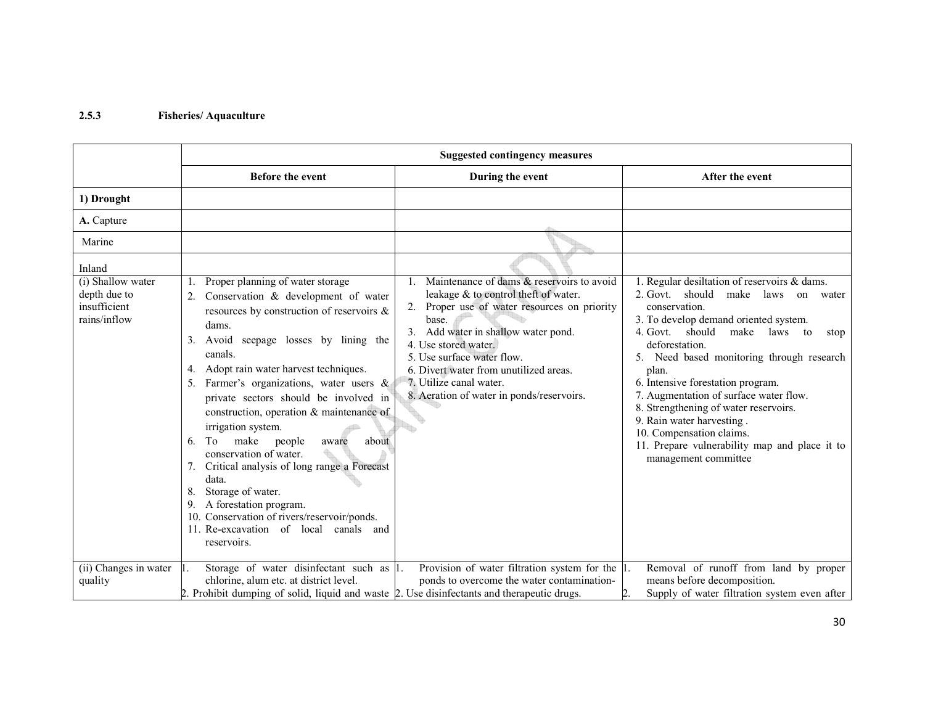# 2.5.3 Fisheries/ Aquaculture

|                                                                             | <b>Suggested contingency measures</b>                                                                                                                                                                                                                                                                                                                                                                                                                                                                                                                                                                                                                                               |                                                                                                                                                                                                                                                                                                                                                           |                                                                                                                                                                                                                                                                                                                                                                                                                                                                                                                                    |
|-----------------------------------------------------------------------------|-------------------------------------------------------------------------------------------------------------------------------------------------------------------------------------------------------------------------------------------------------------------------------------------------------------------------------------------------------------------------------------------------------------------------------------------------------------------------------------------------------------------------------------------------------------------------------------------------------------------------------------------------------------------------------------|-----------------------------------------------------------------------------------------------------------------------------------------------------------------------------------------------------------------------------------------------------------------------------------------------------------------------------------------------------------|------------------------------------------------------------------------------------------------------------------------------------------------------------------------------------------------------------------------------------------------------------------------------------------------------------------------------------------------------------------------------------------------------------------------------------------------------------------------------------------------------------------------------------|
|                                                                             | Before the event                                                                                                                                                                                                                                                                                                                                                                                                                                                                                                                                                                                                                                                                    | During the event                                                                                                                                                                                                                                                                                                                                          | After the event                                                                                                                                                                                                                                                                                                                                                                                                                                                                                                                    |
| 1) Drought                                                                  |                                                                                                                                                                                                                                                                                                                                                                                                                                                                                                                                                                                                                                                                                     |                                                                                                                                                                                                                                                                                                                                                           |                                                                                                                                                                                                                                                                                                                                                                                                                                                                                                                                    |
| A. Capture                                                                  |                                                                                                                                                                                                                                                                                                                                                                                                                                                                                                                                                                                                                                                                                     |                                                                                                                                                                                                                                                                                                                                                           |                                                                                                                                                                                                                                                                                                                                                                                                                                                                                                                                    |
| Marine                                                                      |                                                                                                                                                                                                                                                                                                                                                                                                                                                                                                                                                                                                                                                                                     |                                                                                                                                                                                                                                                                                                                                                           |                                                                                                                                                                                                                                                                                                                                                                                                                                                                                                                                    |
| Inland<br>(i) Shallow water<br>depth due to<br>insufficient<br>rains/inflow | Proper planning of water storage<br>Conservation & development of water<br>resources by construction of reservoirs &<br>dams.<br>Avoid seepage losses by lining the<br>3.<br>canals.<br>Adopt rain water harvest techniques.<br>4.<br>Farmer's organizations, water users &<br>private sectors should be involved in<br>construction, operation & maintenance of<br>irrigation system.<br>about<br>To<br>make<br>people<br>aware<br>6.<br>conservation of water.<br>Critical analysis of long range a Forecast<br>data.<br>Storage of water.<br>A forestation program.<br>9.<br>10. Conservation of rivers/reservoir/ponds.<br>11. Re-excavation of local canals and<br>reservoirs. | Maintenance of dams & reservoirs to avoid<br>leakage & to control theft of water.<br>2. Proper use of water resources on priority<br>base.<br>3. Add water in shallow water pond.<br>4. Use stored water.<br>5. Use surface water flow.<br>6. Divert water from unutilized areas.<br>7. Utilize canal water.<br>8. Aeration of water in ponds/reservoirs. | 1. Regular desiltation of reservoirs & dams.<br>2. Govt. should<br>make laws<br>on<br>water<br>conservation.<br>3. To develop demand oriented system.<br>4. Govt. should<br>make laws to<br>stop<br>deforestation.<br>5. Need based monitoring through research<br>plan.<br>6. Intensive forestation program.<br>7. Augmentation of surface water flow.<br>8. Strengthening of water reservoirs.<br>9. Rain water harvesting.<br>10. Compensation claims.<br>11. Prepare vulnerability map and place it to<br>management committee |
| (ii) Changes in water<br>quality                                            | Storage of water disinfectant such as 1.<br>Ш.<br>chlorine, alum etc. at district level.<br>2. Prohibit dumping of solid, liquid and waste 2. Use disinfectants and therapeutic drugs.                                                                                                                                                                                                                                                                                                                                                                                                                                                                                              | Provision of water filtration system for the $ 1 $ .<br>ponds to overcome the water contamination-                                                                                                                                                                                                                                                        | Removal of runoff from land by proper<br>means before decomposition.<br>Supply of water filtration system even after                                                                                                                                                                                                                                                                                                                                                                                                               |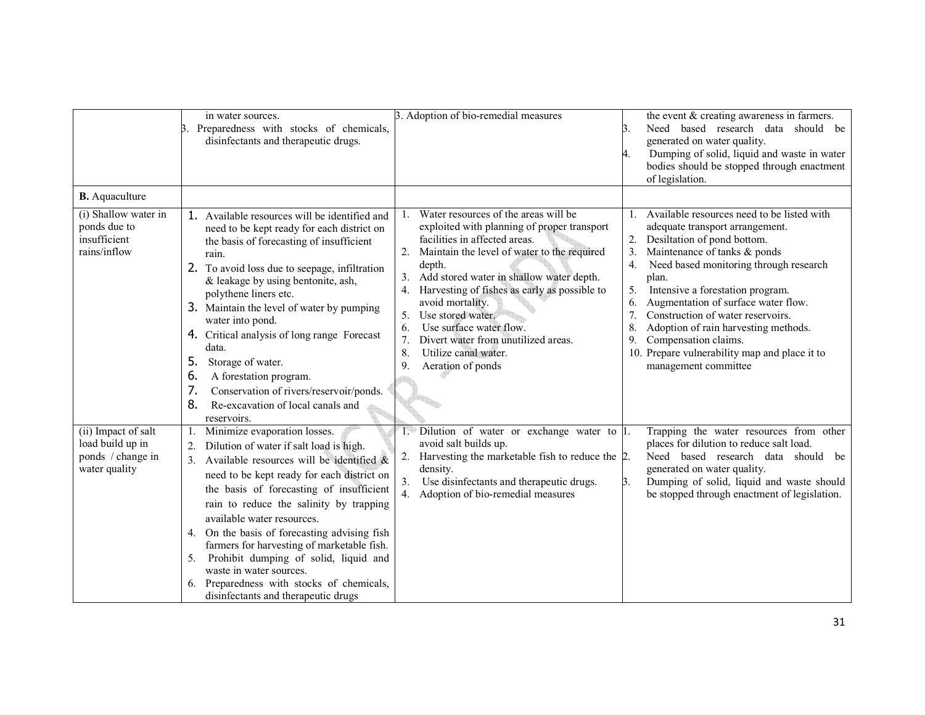|                                                                               | in water sources.<br>Preparedness with stocks of chemicals,<br>3.<br>disinfectants and therapeutic drugs.                                                                                                                                                                                                                                                                                                                                                                                                                                                       | 3. Adoption of bio-remedial measures                                                                                                                                                                                                                                                                                                                                                                                                | the event & creating awareness in farmers.<br>Need based research data should be<br>3.<br>generated on water quality.<br>Dumping of solid, liquid and waste in water<br>4.<br>bodies should be stopped through enactment<br>of legislation.                                                                                                                                                                                                                        |
|-------------------------------------------------------------------------------|-----------------------------------------------------------------------------------------------------------------------------------------------------------------------------------------------------------------------------------------------------------------------------------------------------------------------------------------------------------------------------------------------------------------------------------------------------------------------------------------------------------------------------------------------------------------|-------------------------------------------------------------------------------------------------------------------------------------------------------------------------------------------------------------------------------------------------------------------------------------------------------------------------------------------------------------------------------------------------------------------------------------|--------------------------------------------------------------------------------------------------------------------------------------------------------------------------------------------------------------------------------------------------------------------------------------------------------------------------------------------------------------------------------------------------------------------------------------------------------------------|
| <b>B.</b> Aquaculture<br>(i) Shallow water in                                 |                                                                                                                                                                                                                                                                                                                                                                                                                                                                                                                                                                 | Water resources of the areas will be<br>$1_{-}$                                                                                                                                                                                                                                                                                                                                                                                     | 1. Available resources need to be listed with                                                                                                                                                                                                                                                                                                                                                                                                                      |
| ponds due to<br>insufficient<br>rains/inflow                                  | 1. Available resources will be identified and<br>need to be kept ready for each district on<br>the basis of forecasting of insufficient<br>rain.<br>2. To avoid loss due to seepage, infiltration<br>& leakage by using bentonite, ash,<br>polythene liners etc.<br>3. Maintain the level of water by pumping<br>water into pond.<br>4. Critical analysis of long range Forecast<br>data.<br>5.<br>Storage of water.<br>6.<br>A forestation program.<br>7.<br>Conservation of rivers/reservoir/ponds.<br>8.<br>Re-excavation of local canals and<br>reservoirs. | exploited with planning of proper transport<br>facilities in affected areas.<br>2. Maintain the level of water to the required<br>depth.<br>Add stored water in shallow water depth.<br>3.<br>4. Harvesting of fishes as early as possible to<br>avoid mortality.<br>Use stored water.<br>5.<br>Use surface water flow.<br>6.<br>Divert water from unutilized areas.<br>7.<br>8.<br>Utilize canal water.<br>9.<br>Aeration of ponds | adequate transport arrangement.<br>Desiltation of pond bottom.<br>Maintenance of tanks & ponds<br>3.<br>Need based monitoring through research<br>$\overline{4}$ .<br>plan.<br>5.<br>Intensive a forestation program.<br>Augmentation of surface water flow.<br>6.<br>7.<br>Construction of water reservoirs.<br>Adoption of rain harvesting methods.<br>8.<br>Compensation claims.<br>9.<br>10. Prepare vulnerability map and place it to<br>management committee |
| (ii) Impact of salt<br>load build up in<br>ponds / change in<br>water quality | Minimize evaporation losses.<br>Dilution of water if salt load is high.<br>Available resources will be identified $\&$<br>need to be kept ready for each district on<br>the basis of forecasting of insufficient<br>rain to reduce the salinity by trapping<br>available water resources.<br>4. On the basis of forecasting advising fish<br>farmers for harvesting of marketable fish.<br>Prohibit dumping of solid, liquid and<br>5.<br>waste in water sources.<br>6. Preparedness with stocks of chemicals,<br>disinfectants and therapeutic drugs           | 1. Dilution of water or exchange water to 1.<br>avoid salt builds up.<br>Harvesting the marketable fish to reduce the 2.<br>2.<br>density.<br>3.<br>Use disinfectants and therapeutic drugs.<br>4. Adoption of bio-remedial measures                                                                                                                                                                                                | Trapping the water resources from other<br>places for dilution to reduce salt load.<br>Need based research data should be<br>generated on water quality.<br>Dumping of solid, liquid and waste should<br>B.<br>be stopped through enactment of legislation.                                                                                                                                                                                                        |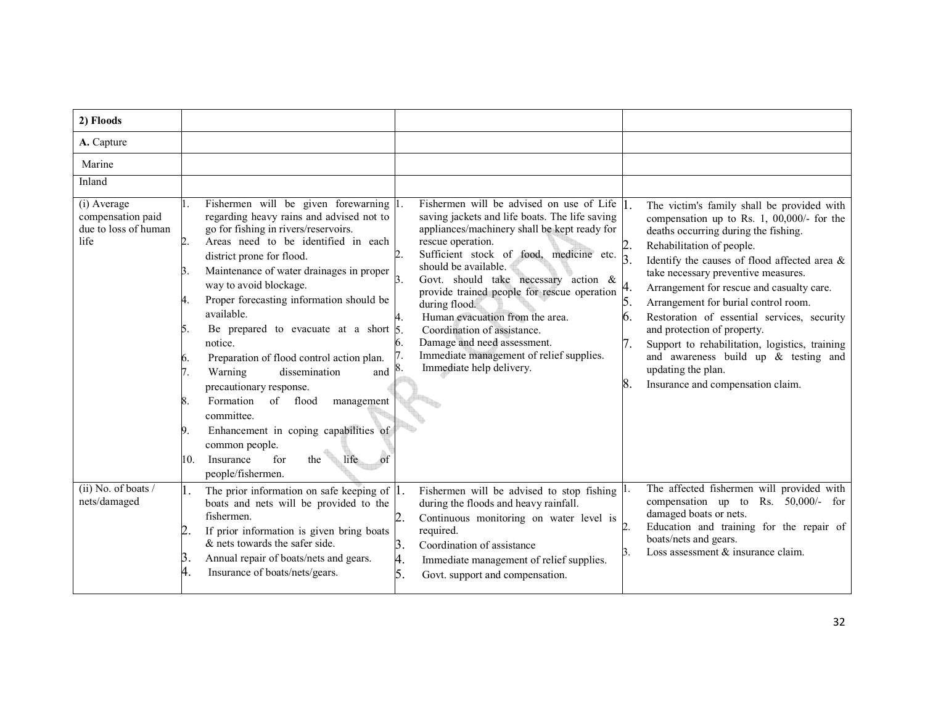| 2) Floods                                                        |                                                                                                                                                                                                                                                                                                                                                                                                                                                                                                                                                                                                                                                                                                                                                            |                                                                                                                                                                                                                                                                                                                                                                                                                                                                                                                                                                   |                                                                                                                                                                                                                                                                                                                                                                                                                                                                                                                                                                                                      |
|------------------------------------------------------------------|------------------------------------------------------------------------------------------------------------------------------------------------------------------------------------------------------------------------------------------------------------------------------------------------------------------------------------------------------------------------------------------------------------------------------------------------------------------------------------------------------------------------------------------------------------------------------------------------------------------------------------------------------------------------------------------------------------------------------------------------------------|-------------------------------------------------------------------------------------------------------------------------------------------------------------------------------------------------------------------------------------------------------------------------------------------------------------------------------------------------------------------------------------------------------------------------------------------------------------------------------------------------------------------------------------------------------------------|------------------------------------------------------------------------------------------------------------------------------------------------------------------------------------------------------------------------------------------------------------------------------------------------------------------------------------------------------------------------------------------------------------------------------------------------------------------------------------------------------------------------------------------------------------------------------------------------------|
| A. Capture                                                       |                                                                                                                                                                                                                                                                                                                                                                                                                                                                                                                                                                                                                                                                                                                                                            |                                                                                                                                                                                                                                                                                                                                                                                                                                                                                                                                                                   |                                                                                                                                                                                                                                                                                                                                                                                                                                                                                                                                                                                                      |
| Marine                                                           |                                                                                                                                                                                                                                                                                                                                                                                                                                                                                                                                                                                                                                                                                                                                                            |                                                                                                                                                                                                                                                                                                                                                                                                                                                                                                                                                                   |                                                                                                                                                                                                                                                                                                                                                                                                                                                                                                                                                                                                      |
| Inland                                                           |                                                                                                                                                                                                                                                                                                                                                                                                                                                                                                                                                                                                                                                                                                                                                            |                                                                                                                                                                                                                                                                                                                                                                                                                                                                                                                                                                   |                                                                                                                                                                                                                                                                                                                                                                                                                                                                                                                                                                                                      |
| (i) Average<br>compensation paid<br>due to loss of human<br>life | Fishermen will be given forewarning 1<br>regarding heavy rains and advised not to<br>go for fishing in rivers/reservoirs.<br>Areas need to be identified in each<br>$\overline{2}$ .<br>district prone for flood.<br>Maintenance of water drainages in proper<br>3.<br>way to avoid blockage.<br>Proper forecasting information should be<br>4.<br>available.<br>Be prepared to evacuate at a short $\frac{1}{5}$<br>5.<br>notice.<br>Preparation of flood control action plan.<br>6.<br>dissemination<br>Warning<br>7.<br>and<br>precautionary response.<br>Formation<br>of flood<br>8.<br>management<br>committee.<br>Enhancement in coping capabilities of<br>9.<br>common people.<br>Insurance<br>for<br>the<br>life<br>10.<br>of<br>people/fishermen. | Fishermen will be advised on use of Life $ _1$ .<br>saving jackets and life boats. The life saving<br>appliances/machinery shall be kept ready for<br>rescue operation.<br>Sufficient stock of food, medicine etc.<br>$\overline{2}$ .<br>should be available.<br>Govt. should take necessary action &<br>3.<br>provide trained people for rescue operation<br>during flood.<br>Human evacuation from the area.<br>4.<br>Coordination of assistance.<br>Damage and need assessment.<br>6.<br>Immediate management of relief supplies.<br>Immediate help delivery. | The victim's family shall be provided with<br>compensation up to Rs. 1, $00,000/$ - for the<br>deaths occurring during the fishing.<br>Rehabilitation of people.<br>Identify the causes of flood affected area &<br>take necessary preventive measures.<br>Arrangement for rescue and casualty care.<br>5.<br>Arrangement for burial control room.<br>Restoration of essential services, security<br>6.<br>and protection of property.<br>Support to rehabilitation, logistics, training<br>and awareness build up $\&$ testing and<br>updating the plan.<br>8.<br>Insurance and compensation claim. |
| $(ii)$ No. of boats /<br>nets/damaged                            | The prior information on safe keeping of $ 1$ .<br>1.<br>boats and nets will be provided to the<br>fishermen.<br>If prior information is given bring boats<br>$&$ nets towards the safer side.<br>Β.<br>Annual repair of boats/nets and gears.<br>Insurance of boats/nets/gears.                                                                                                                                                                                                                                                                                                                                                                                                                                                                           | Fishermen will be advised to stop fishing $ l$ .<br>during the floods and heavy rainfall.<br>2.<br>Continuous monitoring on water level is<br>required.<br>3.<br>Coordination of assistance<br>4.<br>Immediate management of relief supplies.<br>5.<br>Govt. support and compensation.                                                                                                                                                                                                                                                                            | The affected fishermen will provided with<br>compensation up to Rs. $50,000/-$ for<br>damaged boats or nets.<br>Education and training for the repair of<br>boats/nets and gears.<br>Loss assessment & insurance claim.<br>З.                                                                                                                                                                                                                                                                                                                                                                        |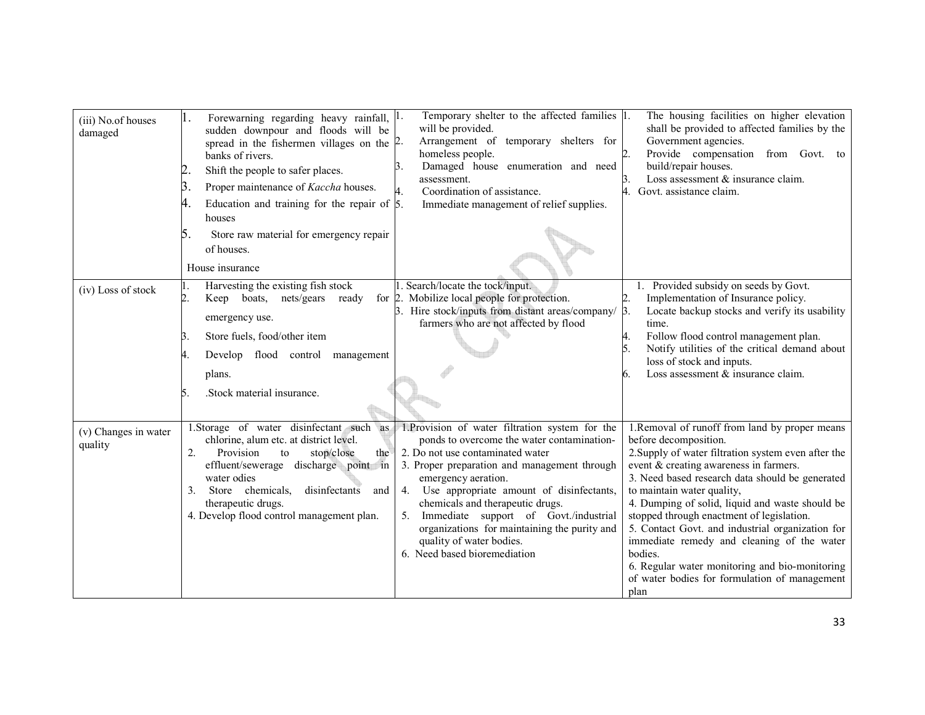| (iii) No.of houses<br>damaged   | Forewarning regarding heavy rainfall, $ l$ .<br>sudden downpour and floods will be<br>spread in the fishermen villages on the $\sqrt{2}$ .<br>banks of rivers.<br>Shift the people to safer places.<br>Β.<br>Proper maintenance of Kaccha houses.<br>Education and training for the repair of $\beta$ .<br>4.<br>houses<br>5.<br>Store raw material for emergency repair<br>of houses.<br>House insurance | Temporary shelter to the affected families 1.<br>will be provided.<br>Arrangement of temporary shelters for<br>homeless people.<br>Damaged house enumeration and need<br>assessment.<br>Coordination of assistance.<br>Immediate management of relief supplies.                                                                                                                                                                                        | The housing facilities on higher elevation<br>shall be provided to affected families by the<br>Government agencies.<br>Provide compensation from Govt. to<br>build/repair houses.<br>Loss assessment & insurance claim.<br>Govt. assistance claim.                                                                                                                                                                                                                                                                                                                                |
|---------------------------------|-----------------------------------------------------------------------------------------------------------------------------------------------------------------------------------------------------------------------------------------------------------------------------------------------------------------------------------------------------------------------------------------------------------|--------------------------------------------------------------------------------------------------------------------------------------------------------------------------------------------------------------------------------------------------------------------------------------------------------------------------------------------------------------------------------------------------------------------------------------------------------|-----------------------------------------------------------------------------------------------------------------------------------------------------------------------------------------------------------------------------------------------------------------------------------------------------------------------------------------------------------------------------------------------------------------------------------------------------------------------------------------------------------------------------------------------------------------------------------|
| (iv) Loss of stock              | Harvesting the existing fish stock<br>2.<br>Keep boats, nets/gears<br>ready<br>emergency use.<br>Store fuels, food/other item<br>Develop flood control management<br>4.<br>plans.<br>.Stock material insurance.<br>5.                                                                                                                                                                                     | . Search/locate the tock/input.<br>for 2. Mobilize local people for protection.<br>3. Hire stock/inputs from distant areas/company/<br>farmers who are not affected by flood                                                                                                                                                                                                                                                                           | 1. Provided subsidy on seeds by Govt.<br>Implementation of Insurance policy.<br>Locate backup stocks and verify its usability<br>$\beta$ .<br>time.<br>Follow flood control management plan.<br>Notify utilities of the critical demand about<br>loss of stock and inputs.<br>Loss assessment & insurance claim.                                                                                                                                                                                                                                                                  |
| (v) Changes in water<br>quality | 1. Storage of water disinfectant such as<br>chlorine, alum etc. at district level.<br>2.<br>Provision<br>the<br>stop/close<br>to<br>effluent/sewerage discharge point in<br>water odies<br>Store chemicals,<br>disinfectants<br>3.<br>and<br>therapeutic drugs.<br>4. Develop flood control management plan.                                                                                              | 1. Provision of water filtration system for the<br>ponds to overcome the water contamination-<br>2. Do not use contaminated water<br>3. Proper preparation and management through<br>emergency aeration.<br>4. Use appropriate amount of disinfectants,<br>chemicals and therapeutic drugs.<br>Immediate support of Govt./industrial<br>5.<br>organizations for maintaining the purity and<br>quality of water bodies.<br>6. Need based bioremediation | 1. Removal of runoff from land by proper means<br>before decomposition.<br>2. Supply of water filtration system even after the<br>event & creating awareness in farmers.<br>3. Need based research data should be generated<br>to maintain water quality,<br>4. Dumping of solid, liquid and waste should be<br>stopped through enactment of legislation.<br>5. Contact Govt. and industrial organization for<br>immediate remedy and cleaning of the water<br>bodies.<br>6. Regular water monitoring and bio-monitoring<br>of water bodies for formulation of management<br>plan |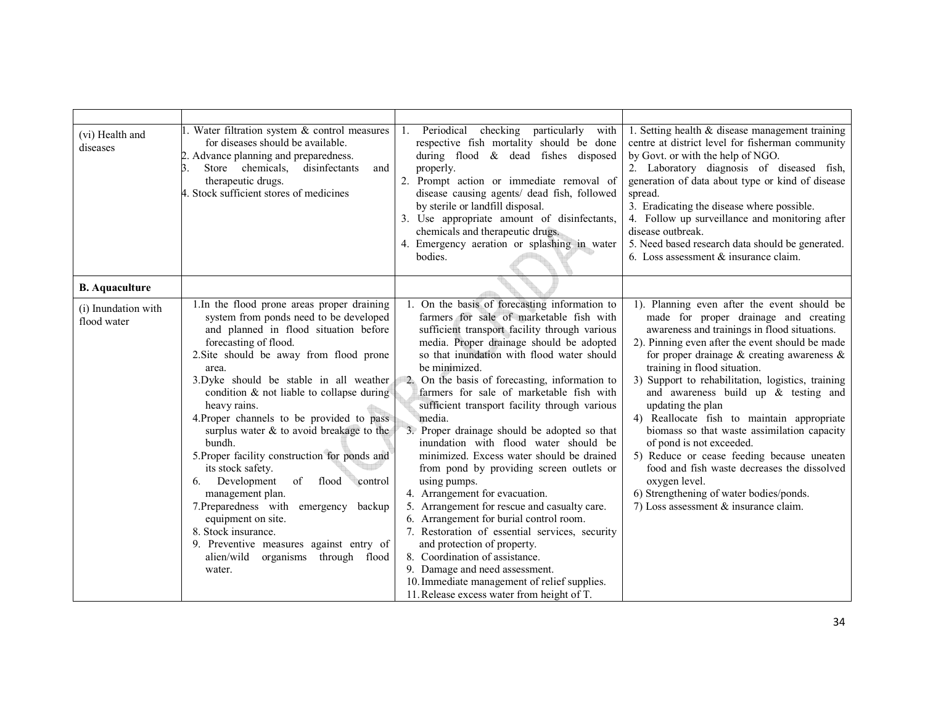| (vi) Health and<br>diseases        | I. Water filtration system & control measures<br>for diseases should be available.<br>2. Advance planning and preparedness.<br>disinfectants<br>Store chemicals,<br>and<br>therapeutic drugs.<br>4. Stock sufficient stores of medicines                                                                                                                                                                                                                                                                                                                                                                                                                                                                                                            | 1. Periodical checking particularly with<br>respective fish mortality should be done<br>during flood & dead fishes disposed<br>properly.<br>2. Prompt action or immediate removal of<br>disease causing agents/ dead fish, followed<br>by sterile or landfill disposal.<br>3. Use appropriate amount of disinfectants,<br>chemicals and therapeutic drugs.<br>4. Emergency aeration or splashing in water<br>bodies.                                                                                                                                                                                                                                                                                                                                                                                                                                                                                                                                                                             | 1. Setting health $&$ disease management training<br>centre at district level for fisherman community<br>by Govt. or with the help of NGO.<br>2. Laboratory diagnosis of diseased fish,<br>generation of data about type or kind of disease<br>spread.<br>3. Eradicating the disease where possible.<br>4. Follow up surveillance and monitoring after<br>disease outbreak.<br>5. Need based research data should be generated.<br>6. Loss assessment $&$ insurance claim.                                                                                                                                                                                                                                                  |
|------------------------------------|-----------------------------------------------------------------------------------------------------------------------------------------------------------------------------------------------------------------------------------------------------------------------------------------------------------------------------------------------------------------------------------------------------------------------------------------------------------------------------------------------------------------------------------------------------------------------------------------------------------------------------------------------------------------------------------------------------------------------------------------------------|--------------------------------------------------------------------------------------------------------------------------------------------------------------------------------------------------------------------------------------------------------------------------------------------------------------------------------------------------------------------------------------------------------------------------------------------------------------------------------------------------------------------------------------------------------------------------------------------------------------------------------------------------------------------------------------------------------------------------------------------------------------------------------------------------------------------------------------------------------------------------------------------------------------------------------------------------------------------------------------------------|-----------------------------------------------------------------------------------------------------------------------------------------------------------------------------------------------------------------------------------------------------------------------------------------------------------------------------------------------------------------------------------------------------------------------------------------------------------------------------------------------------------------------------------------------------------------------------------------------------------------------------------------------------------------------------------------------------------------------------|
| <b>B.</b> Aquaculture              |                                                                                                                                                                                                                                                                                                                                                                                                                                                                                                                                                                                                                                                                                                                                                     |                                                                                                                                                                                                                                                                                                                                                                                                                                                                                                                                                                                                                                                                                                                                                                                                                                                                                                                                                                                                  |                                                                                                                                                                                                                                                                                                                                                                                                                                                                                                                                                                                                                                                                                                                             |
| (i) Inundation with<br>flood water | 1. In the flood prone areas proper draining<br>system from ponds need to be developed<br>and planned in flood situation before<br>forecasting of flood.<br>2. Site should be away from flood prone<br>area.<br>3. Dyke should be stable in all weather<br>condition $\&$ not liable to collapse during<br>heavy rains.<br>4. Proper channels to be provided to pass<br>surplus water & to avoid breakage to the<br>bundh.<br>5. Proper facility construction for ponds and<br>its stock safety.<br>Development<br>of<br>flood control<br>6.<br>management plan.<br>7. Preparedness with<br>emergency backup<br>equipment on site.<br>8. Stock insurance.<br>9. Preventive measures against entry of<br>alien/wild organisms through flood<br>water. | 1. On the basis of forecasting information to<br>farmers for sale of marketable fish with<br>sufficient transport facility through various<br>media. Proper drainage should be adopted<br>so that inundation with flood water should<br>be minimized.<br>2. On the basis of forecasting, information to<br>farmers for sale of marketable fish with<br>sufficient transport facility through various<br>media.<br>3. Proper drainage should be adopted so that<br>inundation with flood water should be<br>minimized. Excess water should be drained<br>from pond by providing screen outlets or<br>using pumps.<br>4. Arrangement for evacuation.<br>5. Arrangement for rescue and casualty care.<br>6. Arrangement for burial control room.<br>7. Restoration of essential services, security<br>and protection of property.<br>8. Coordination of assistance.<br>9. Damage and need assessment.<br>10. Immediate management of relief supplies.<br>11. Release excess water from height of T. | 1). Planning even after the event should be<br>made for proper drainage and creating<br>awareness and trainings in flood situations.<br>2). Pinning even after the event should be made<br>for proper drainage $\&$ creating awareness $\&$<br>training in flood situation.<br>3) Support to rehabilitation, logistics, training<br>and awareness build up $\&$ testing and<br>updating the plan<br>4) Reallocate fish to maintain appropriate<br>biomass so that waste assimilation capacity<br>of pond is not exceeded.<br>5) Reduce or cease feeding because uneaten<br>food and fish waste decreases the dissolved<br>oxygen level.<br>6) Strengthening of water bodies/ponds.<br>7) Loss assessment & insurance claim. |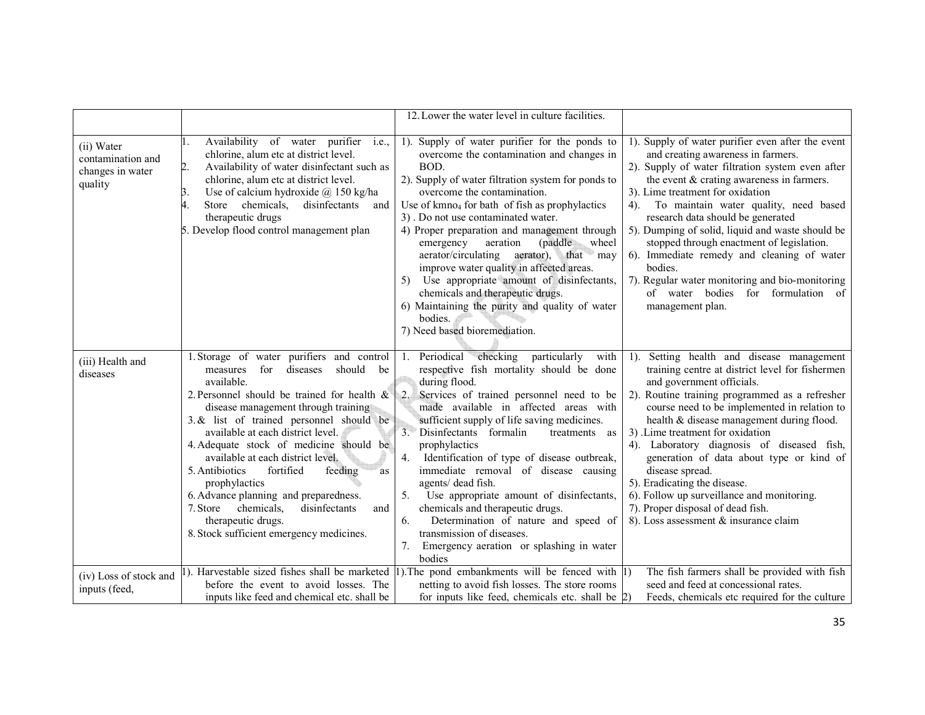|                                                                |                                                                                                                                                                                                                                                                                                                                                                                                                                                                                                                                                                                                | 12. Lower the water level in culture facilities.                                                                                                                                                                                                                                                                                                                                                                                                                                                                                                                                                                                                                           |                                                                                                                                                                                                                                                                                                                                                                                                                                                                                                                                                                                               |
|----------------------------------------------------------------|------------------------------------------------------------------------------------------------------------------------------------------------------------------------------------------------------------------------------------------------------------------------------------------------------------------------------------------------------------------------------------------------------------------------------------------------------------------------------------------------------------------------------------------------------------------------------------------------|----------------------------------------------------------------------------------------------------------------------------------------------------------------------------------------------------------------------------------------------------------------------------------------------------------------------------------------------------------------------------------------------------------------------------------------------------------------------------------------------------------------------------------------------------------------------------------------------------------------------------------------------------------------------------|-----------------------------------------------------------------------------------------------------------------------------------------------------------------------------------------------------------------------------------------------------------------------------------------------------------------------------------------------------------------------------------------------------------------------------------------------------------------------------------------------------------------------------------------------------------------------------------------------|
|                                                                |                                                                                                                                                                                                                                                                                                                                                                                                                                                                                                                                                                                                |                                                                                                                                                                                                                                                                                                                                                                                                                                                                                                                                                                                                                                                                            |                                                                                                                                                                                                                                                                                                                                                                                                                                                                                                                                                                                               |
| (ii) Water<br>contamination and<br>changes in water<br>quality | Availability of water purifier i.e.,<br>chlorine, alum etc at district level.<br>Availability of water disinfectant such as<br>2.<br>chlorine, alum etc at district level.<br>Use of calcium hydroxide $\omega$ 150 kg/ha<br>3.<br>Store chemicals, disinfectants<br>4.<br>and<br>therapeutic drugs<br>5. Develop flood control management plan                                                                                                                                                                                                                                                | 1). Supply of water purifier for the ponds to<br>overcome the contamination and changes in<br>BOD.<br>2). Supply of water filtration system for ponds to<br>overcome the contamination.<br>Use of $kmno4$ for bath of fish as prophylactics<br>3). Do not use contaminated water.<br>4) Proper preparation and management through<br>(paddle)<br>aeration<br>wheel<br>emergency<br>aerator/circulating<br>$a$ erator), that may<br>improve water quality in affected areas.<br>Use appropriate amount of disinfectants,<br>5)<br>chemicals and therapeutic drugs.<br>6) Maintaining the purity and quality of water<br>bodies.<br>7) Need based bioremediation.            | 1). Supply of water purifier even after the event<br>and creating awareness in farmers.<br>2). Supply of water filtration system even after<br>the event $&$ crating awareness in farmers.<br>3). Lime treatment for oxidation<br>To maintain water quality, need based<br>4).<br>research data should be generated<br>5). Dumping of solid, liquid and waste should be<br>stopped through enactment of legislation.<br>6). Immediate remedy and cleaning of water<br>bodies.<br>7). Regular water monitoring and bio-monitoring<br>of water bodies<br>for formulation of<br>management plan. |
| (iii) Health and<br>diseases                                   | 1. Storage of water purifiers and control<br>for<br>diseases<br>should<br>measures<br>be<br>available.<br>2. Personnel should be trained for health $\&$<br>disease management through training<br>3. & list of trained personnel should be<br>available at each district level.<br>4. Adequate stock of medicine should be<br>available at each district level.<br>5. Antibiotics<br>fortified<br>feeding<br>as<br>prophylactics<br>6. Advance planning and preparedness.<br>chemicals,<br>disinfectants<br>7. Store<br>and<br>therapeutic drugs.<br>8. Stock sufficient emergency medicines. | 1. Periodical checking particularly<br>with<br>respective fish mortality should be done<br>during flood.<br>2.<br>Services of trained personnel need to be<br>made available in affected areas with<br>sufficient supply of life saving medicines.<br>3. Disinfectants formalin<br>treatments as<br>prophylactics<br>4 <sup>1</sup><br>Identification of type of disease outbreak,<br>immediate removal of disease causing<br>agents/ dead fish.<br>5.<br>Use appropriate amount of disinfectants,<br>chemicals and therapeutic drugs.<br>Determination of nature and speed of<br>6.<br>transmission of diseases.<br>7. Emergency aeration or splashing in water<br>bodies | 1). Setting health and disease management<br>training centre at district level for fishermen<br>and government officials.<br>2). Routine training programmed as a refresher<br>course need to be implemented in relation to<br>health & disease management during flood.<br>3) .Lime treatment for oxidation<br>4). Laboratory diagnosis of diseased fish,<br>generation of data about type or kind of<br>disease spread.<br>5). Eradicating the disease.<br>6). Follow up surveillance and monitoring.<br>7). Proper disposal of dead fish.<br>8). Loss assessment & insurance claim         |
| (iv) Loss of stock and<br>inputs (feed,                        | before the event to avoid losses. The<br>inputs like feed and chemical etc. shall be                                                                                                                                                                                                                                                                                                                                                                                                                                                                                                           | 1). Harvestable sized fishes shall be marketed 1. The pond embankments will be fenced with 1)<br>netting to avoid fish losses. The store rooms<br>for inputs like feed, chemicals etc. shall be                                                                                                                                                                                                                                                                                                                                                                                                                                                                            | The fish farmers shall be provided with fish<br>seed and feed at concessional rates.<br>Feeds, chemicals etc required for the culture                                                                                                                                                                                                                                                                                                                                                                                                                                                         |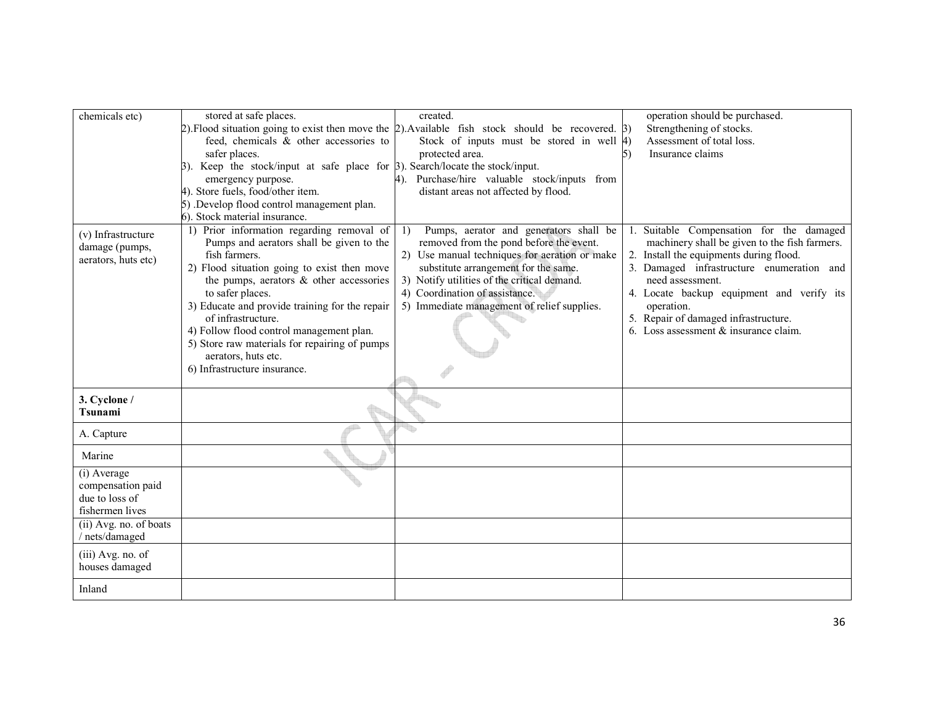| chemicals etc)         | stored at safe places.                                                                      | created.                                                                                                     | operation should be purchased.                |
|------------------------|---------------------------------------------------------------------------------------------|--------------------------------------------------------------------------------------------------------------|-----------------------------------------------|
|                        |                                                                                             | $(2)$ . Flood situation going to exist then move the $(2)$ . Available fish stock should be recovered. $(3)$ | Strengthening of stocks.                      |
|                        | feed, chemicals & other accessories to                                                      | Stock of inputs must be stored in well $ 4\rangle$                                                           | Assessment of total loss.                     |
|                        | safer places.                                                                               | protected area.                                                                                              | Insurance claims                              |
|                        | $\beta$ ). Keep the stock/input at safe place for $\beta$ ). Search/locate the stock/input. |                                                                                                              |                                               |
|                        | emergency purpose.                                                                          | Purchase/hire valuable stock/inputs from                                                                     |                                               |
|                        | 4). Store fuels, food/other item.                                                           | distant areas not affected by flood.                                                                         |                                               |
|                        | 5) .Develop flood control management plan.                                                  |                                                                                                              |                                               |
|                        | 6). Stock material insurance.                                                               |                                                                                                              |                                               |
|                        | 1) Prior information regarding removal of                                                   |                                                                                                              |                                               |
| (v) Infrastructure     |                                                                                             | Pumps, aerator and generators shall be<br>1)                                                                 | Suitable Compensation for the damaged         |
| damage (pumps,         | Pumps and aerators shall be given to the                                                    | removed from the pond before the event.                                                                      | machinery shall be given to the fish farmers. |
| aerators, huts etc)    | fish farmers.                                                                               | 2) Use manual techniques for aeration or make                                                                | 2. Install the equipments during flood.       |
|                        | 2) Flood situation going to exist then move                                                 | substitute arrangement for the same.                                                                         | 3. Damaged infrastructure enumeration and     |
|                        | the pumps, aerators $\&$ other accessories                                                  | 3) Notify utilities of the critical demand.                                                                  | need assessment.                              |
|                        | to safer places.                                                                            | 4) Coordination of assistance.                                                                               | 4. Locate backup equipment and verify its     |
|                        | 3) Educate and provide training for the repair                                              | 5) Immediate management of relief supplies.                                                                  | operation.                                    |
|                        | of infrastructure.                                                                          |                                                                                                              | 5. Repair of damaged infrastructure.          |
|                        | 4) Follow flood control management plan.                                                    |                                                                                                              | 6. Loss assessment $&$ insurance claim.       |
|                        | 5) Store raw materials for repairing of pumps                                               |                                                                                                              |                                               |
|                        | aerators, huts etc.                                                                         |                                                                                                              |                                               |
|                        | 6) Infrastructure insurance.                                                                |                                                                                                              |                                               |
|                        |                                                                                             |                                                                                                              |                                               |
| 3. Cyclone /           |                                                                                             |                                                                                                              |                                               |
| <b>Tsunami</b>         |                                                                                             |                                                                                                              |                                               |
|                        |                                                                                             |                                                                                                              |                                               |
| A. Capture             |                                                                                             |                                                                                                              |                                               |
| Marine                 |                                                                                             |                                                                                                              |                                               |
| (i) Average            |                                                                                             |                                                                                                              |                                               |
| compensation paid      |                                                                                             |                                                                                                              |                                               |
| due to loss of         |                                                                                             |                                                                                                              |                                               |
| fishermen lives        |                                                                                             |                                                                                                              |                                               |
| (ii) Avg. no. of boats |                                                                                             |                                                                                                              |                                               |
| / nets/damaged         |                                                                                             |                                                                                                              |                                               |
| $(iii)$ Avg. no. of    |                                                                                             |                                                                                                              |                                               |
| houses damaged         |                                                                                             |                                                                                                              |                                               |
|                        |                                                                                             |                                                                                                              |                                               |
| Inland                 |                                                                                             |                                                                                                              |                                               |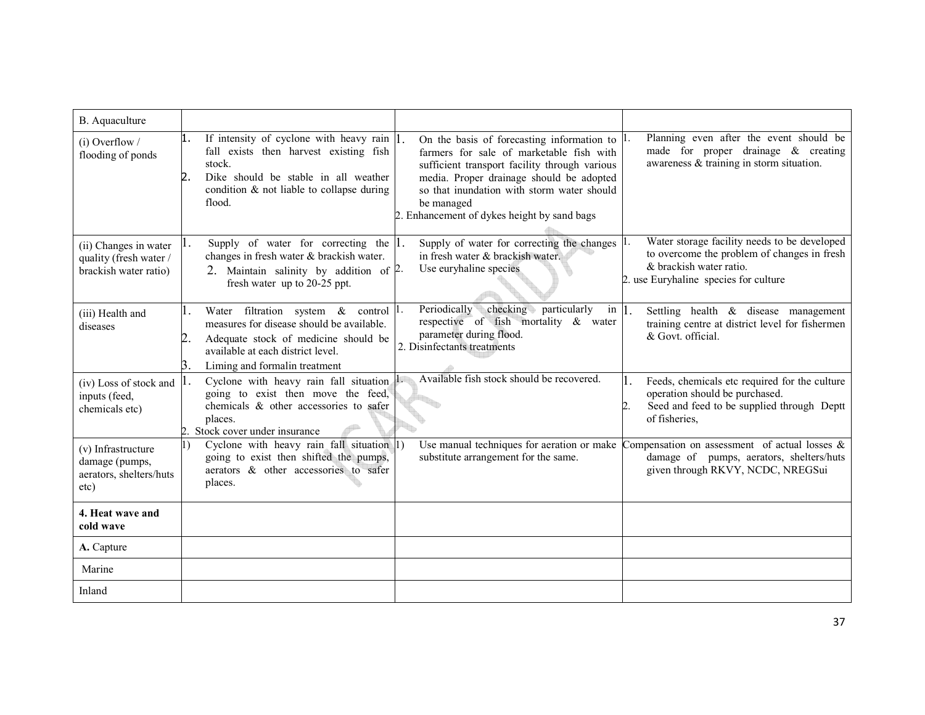| B. Aquaculture                                                           |                                                                                                                                                                                                                    |                                                                                                                                                                                                                                                                                                       |                                                                                                                                                                 |
|--------------------------------------------------------------------------|--------------------------------------------------------------------------------------------------------------------------------------------------------------------------------------------------------------------|-------------------------------------------------------------------------------------------------------------------------------------------------------------------------------------------------------------------------------------------------------------------------------------------------------|-----------------------------------------------------------------------------------------------------------------------------------------------------------------|
| $(i)$ Overflow /<br>flooding of ponds                                    | 1.<br>If intensity of cyclone with heavy rain $ 1 $ .<br>fall exists then harvest existing fish<br>stock.<br>Dike should be stable in all weather<br>condition $\&$ not liable to collapse during<br>flood.        | On the basis of forecasting information to $ l$ .<br>farmers for sale of marketable fish with<br>sufficient transport facility through various<br>media. Proper drainage should be adopted<br>so that inundation with storm water should<br>be managed<br>2. Enhancement of dykes height by sand bags | Planning even after the event should be<br>made for proper drainage $\&$ creating<br>awareness & training in storm situation.                                   |
| (ii) Changes in water<br>quality (fresh water /<br>brackish water ratio) | Supply of water for correcting the $ 1$ .<br>changes in fresh water & brackish water.<br>2. Maintain salinity by addition of 2.<br>fresh water up to 20-25 ppt.                                                    | Supply of water for correcting the changes 1.<br>in fresh water & brackish water.<br>Use euryhaline species                                                                                                                                                                                           | Water storage facility needs to be developed<br>to overcome the problem of changes in fresh<br>& brackish water ratio.<br>2. use Euryhaline species for culture |
| (iii) Health and<br>diseases                                             | Water filtration system $\&$ control $\left  \right $ .<br>measures for disease should be available.<br>Adequate stock of medicine should be<br>available at each district level.<br>Liming and formalin treatment | Periodically<br>checking particularly<br>in $\vert$ 1.<br>respective of fish mortality & water<br>parameter during flood.<br>2. Disinfectants treatments                                                                                                                                              | Settling health & disease management<br>training centre at district level for fishermen<br>& Govt. official.                                                    |
| (iv) Loss of stock and<br>inputs (feed,<br>chemicals etc)                | Cyclone with heavy rain fall situation $\mathbf{l}$ .<br>going to exist then move the feed,<br>chemicals & other accessories to safer<br>places.<br>Stock cover under insurance                                    | Available fish stock should be recovered.                                                                                                                                                                                                                                                             | Feeds, chemicals etc required for the culture<br>operation should be purchased.<br>Seed and feed to be supplied through Deptt<br>of fisheries,                  |
| (v) Infrastructure<br>damage (pumps,<br>aerators, shelters/huts<br>etc)  | Cyclone with heavy rain fall situation 1)<br>I)<br>going to exist then shifted the pumps,<br>aerators & other accessories to safer<br>places.                                                                      | Use manual techniques for aeration or make<br>substitute arrangement for the same.                                                                                                                                                                                                                    | Compensation on assessment of actual losses $\&$<br>damage of pumps, aerators, shelters/huts<br>given through RKVY, NCDC, NREGSui                               |
| 4. Heat wave and<br>cold wave                                            |                                                                                                                                                                                                                    |                                                                                                                                                                                                                                                                                                       |                                                                                                                                                                 |
| A. Capture                                                               |                                                                                                                                                                                                                    |                                                                                                                                                                                                                                                                                                       |                                                                                                                                                                 |
| Marine                                                                   |                                                                                                                                                                                                                    |                                                                                                                                                                                                                                                                                                       |                                                                                                                                                                 |
| Inland                                                                   |                                                                                                                                                                                                                    |                                                                                                                                                                                                                                                                                                       |                                                                                                                                                                 |